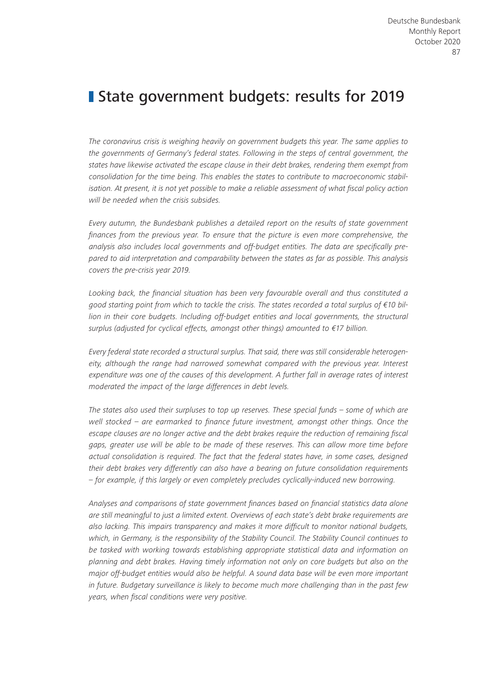# **State government budgets: results for 2019**

*The coronavirus crisis is weighing heavily on government budgets this year. The same applies to the governments of Germany's federal states. Following in the steps of central government, the states have likewise activated the escape clause in their debt brakes, rendering them exempt from consolidation for the time being. This enables the states to contribute to macroeconomic stabilisation. At present, it is not yet possible to make a reliable assessment of what fiscal policy action will be needed when the crisis subsides.*

*Every autumn, the Bundesbank publishes a detailed report on the results of state government finances from the previous year. To ensure that the picture is even more comprehensive, the analysis also includes local governments and off-budget entities. The data are specifically prepared to aid interpretation and comparability between the states as far as possible. This analysis covers the pre-crisis year 2019.*

*Looking back, the financial situation has been very favourable overall and thus constituted a good starting point from which to tackle the crisis. The states recorded a total surplus of €10 billion in their core budgets. Including off-budget entities and local governments, the structural surplus (adjusted for cyclical effects, amongst other things) amounted to €17 billion.*

*Every federal state recorded a structural surplus. That said, there was still considerable heterogen*eity, although the range had narrowed somewhat compared with the previous year. Interest *expenditure was one of the causes of this development. A further fall in average rates of interest moderated the impact of the large differences in debt levels.*

*The states also used their surpluses to top up reserves. These special funds – some of which are well stocked – are earmarked to finance future investment, amongst other things. Once the escape clauses are no longer active and the debt brakes require the reduction of remaining fiscal gaps, greater use will be able to be made of these reserves. This can allow more time before actual consolidation is required. The fact that the federal states have, in some cases, designed their debt brakes very differently can also have a bearing on future consolidation requirements – for example, if this largely or even completely precludes cyclically-induced new borrowing.*

*Analyses and comparisons of state government finances based on financial statistics data alone are still meaningful to just a limited extent. Overviews of each state's debt brake requirements are also lacking. This impairs transparency and makes it more difficult to monitor national budgets, which, in Germany, is the responsibility of the Stability Council. The Stability Council continues to be tasked with working towards establishing appropriate statistical data and information on planning and debt brakes. Having timely information not only on core budgets but also on the major off-budget entities would also be helpful. A sound data base will be even more important in future. Budgetary surveillance is likely to become much more challenging than in the past few years, when fiscal conditions were very positive.*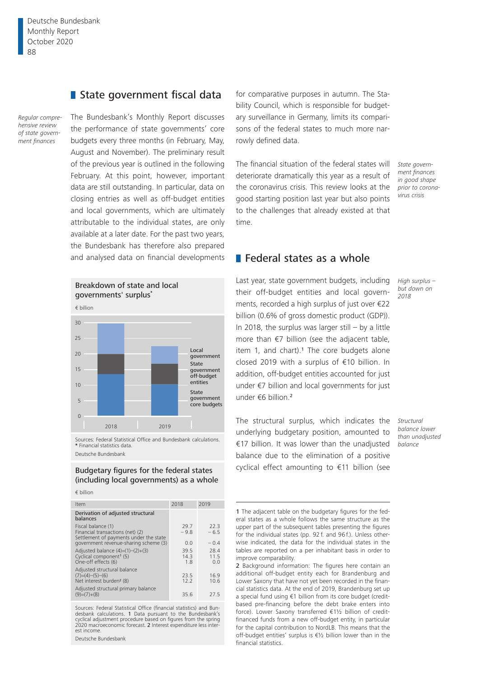Deutsche Bundesbank Monthly Report October 2020 88

### State government fiscal data

*Regular comprehensive review of state government finances*

## The Bundesbank's Monthly Report discusses the performance of state governments' core budgets every three months (in February, May, August and November). The preliminary result of the previous year is outlined in the following February. At this point, however, important data are still outstanding. In particular, data on closing entries as well as off-budget entities and local governments, which are ultimately attributable to the individual states, are only available at a later date. For the past two years, the Bundesbank has therefore also prepared and analysed data on financial developments



Sources: Federal Statistical Office and Bundesbank calculations. **\*** Financial statistics data. Deutsche Bundesbank

Budgetary figures for the federal states (including local governments) as a whole

#### € billion

| Item                                                                                             | 2018                | 2019                |
|--------------------------------------------------------------------------------------------------|---------------------|---------------------|
| Derivation of adjusted structural<br>balances                                                    |                     |                     |
| Fiscal balance (1)<br>Financial transactions (net) (2)<br>Settlement of payments under the state | 29.7<br>$-9.8$      | 22.3<br>$-6.5$      |
| government revenue-sharing scheme (3)                                                            | 0.0                 | $-0.4$              |
| Adjusted balance $(4)=(1)-(2)+(3)$<br>Cyclical component <sup>1</sup> (5)<br>One-off effects (6) | 39.5<br>14.3<br>1.8 | 28.4<br>11.5<br>0.0 |
| Adjusted structural balance<br>$(7)=(4)-(5)-(6)$<br>Net interest burden <sup>2</sup> (8)         | 23.5<br>12.2        | 16.9<br>10.6        |
| Adjusted structural primary balance<br>$(9)=(7)+(8)$                                             | 35.6                | 27.5                |

Sources: Federal Statistical Office (financial statistics) and Bundesbank calculations. 1 Data pursuant to the Bundesbank's cyclical adjustment procedure based on figures from the spring<br>2020 macroeconomic forecast. **2** Interest expenditure less interest income.

Deutsche Bundesbank

for comparative purposes in autumn. The Stability Council, which is responsible for budgetary surveillance in Germany, limits its comparisons of the federal states to much more narrowly defined data.

The financial situation of the federal states will deteriorate dramatically this year as a result of the coronavirus crisis. This review looks at the good starting position last year but also points to the challenges that already existed at that time.

*State government finances in good shape prior to coronavirus crisis*

### **Federal states as a whole**

Last year, state government budgets, including their off-budget entities and local governments, recorded a high surplus of just over €22 billion (0.6% of gross domestic product (GDP)). In 2018, the surplus was larger still  $-$  by a little more than €7 billion (see the adjacent table, item 1, and chart).<sup>1</sup> The core budgets alone closed 2019 with a surplus of €10 billion. In addition, off-budget entities accounted for just under €7 billion and local governments for just under €6 billion.<sup>2</sup>

*but down on 2018*

*High surplus –* 

The structural surplus, which indicates the underlying budgetary position, amounted to €17 billion. It was lower than the unadjusted balance due to the elimination of a positive cyclical effect amounting to €11 billion (see

*Structural balance lower than unadjusted balance*

<sup>1</sup> The adjacent table on the budgetary figures for the federal states as a whole follows the same structure as the upper part of the subsequent tables presenting the figures for the individual states (pp. 92 f. and 96 f.). Unless otherwise indicated, the data for the individual states in the tables are reported on a per inhabitant basis in order to improve comparability.

<sup>2</sup> Background information: The figures here contain an additional off-budget entity each for Brandenburg and Lower Saxony that have not yet been recorded in the financial statistics data. At the end of 2019, Brandenburg set up a special fund using €1 billion from its core budget (creditbased pre-financing before the debt brake enters into force). Lower Saxony transferred €1½ billion of creditfinanced funds from a new off-budget entity, in particular for the capital contribution to NordLB. This means that the off-budget entities' surplus is €½ billion lower than in the financial statistics.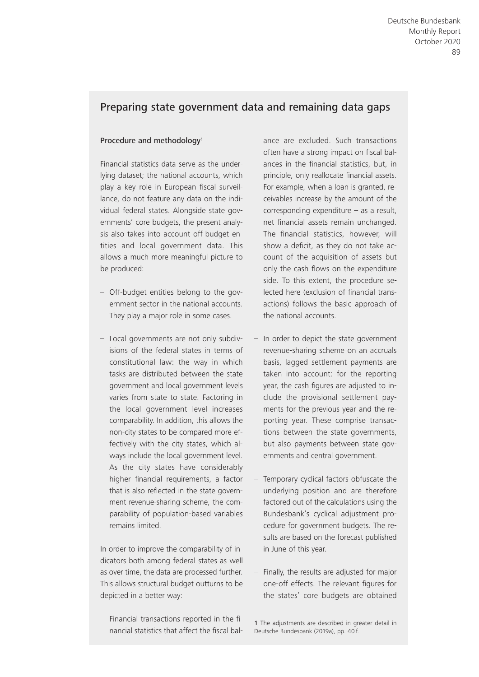# Preparing state government data and remaining data gaps

#### Procedure and methodology<sup>1</sup>

Financial statistics data serve as the underlying dataset; the national accounts, which play a key role in European fiscal surveillance, do not feature any data on the individual federal states. Alongside state governments' core budgets, the present analysis also takes into account off-budget entities and local government data. This allows a much more meaningful picture to be produced:

- Off- budget entities belong to the government sector in the national accounts. They play a major role in some cases.
- Local governments are not only subdivisions of the federal states in terms of constitutional law: the way in which tasks are distributed between the state government and local government levels varies from state to state. Factoring in the local government level increases comparability. In addition, this allows the non- city states to be compared more effectively with the city states, which always include the local government level. As the city states have considerably higher financial requirements, a factor that is also reflected in the state government revenue-sharing scheme, the comparability of population-based variables remains limited.

In order to improve the comparability of indicators both among federal states as well as over time, the data are processed further. This allows structural budget outturns to be depicted in a better way:

– Financial transactions reported in the fi nancial statistics that affect the fiscal balance are excluded. Such transactions often have a strong impact on fiscal balances in the financial statistics, but, in principle, only reallocate financial assets. For example, when a loan is granted, receivables increase by the amount of the corresponding expenditure – as a result, net financial assets remain unchanged. The financial statistics, however, will show a deficit, as they do not take account of the acquisition of assets but only the cash flows on the expenditure side. To this extent, the procedure selected here (exclusion of financial transactions) follows the basic approach of the national accounts.

- In order to depict the state government revenue-sharing scheme on an accruals basis, lagged settlement payments are taken into account: for the reporting year, the cash figures are adjusted to include the provisional settlement payments for the previous year and the reporting year. These comprise transactions between the state governments, but also payments between state governments and central government.
- Temporary cyclical factors obfuscate the underlying position and are therefore factored out of the calculations using the Bundesbank's cyclical adjustment procedure for government budgets. The results are based on the forecast published in June of this year.
- Finally, the results are adjusted for major one-off effects. The relevant figures for the states' core budgets are obtained

<sup>1</sup> The adjustments are described in greater detail in Deutsche Bundesbank (2019a), pp. 40 f.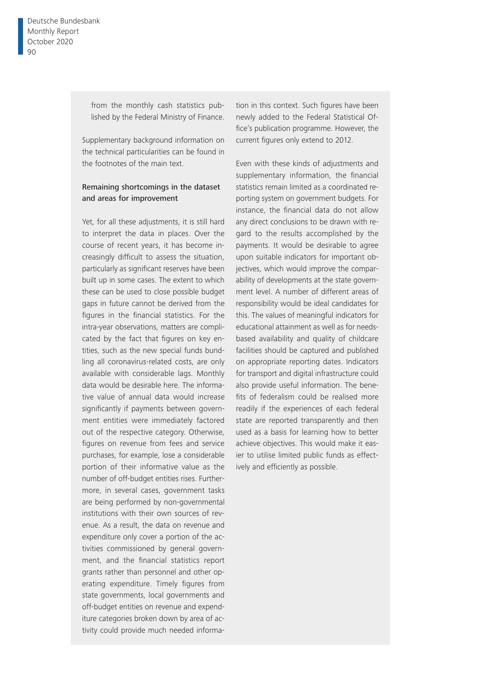from the monthly cash statistics published by the Federal Ministry of Finance.

Supplementary background information on the technical particularities can be found in the footnotes of the main text.

### Remaining shortcomings in the dataset and areas for improvement

Yet, for all these adjustments, it is still hard to interpret the data in places. Over the course of recent years, it has become increasingly difficult to assess the situation, particularly as significant reserves have been built up in some cases. The extent to which these can be used to close possible budget gaps in future cannot be derived from the figures in the financial statistics. For the intra-year observations, matters are complicated by the fact that figures on key entities, such as the new special funds bundling all coronavirus- related costs, are only available with considerable lags. Monthly data would be desirable here. The informative value of annual data would increase significantly if payments between government entities were immediately factored out of the respective category. Otherwise, figures on revenue from fees and service purchases, for example, lose a considerable portion of their informative value as the number of off-budget entities rises. Furthermore, in several cases, government tasks are being performed by non-governmental institutions with their own sources of revenue. As a result, the data on revenue and expenditure only cover a portion of the activities commissioned by general government, and the financial statistics report grants rather than personnel and other operating expenditure. Timely figures from state governments, local governments and off-budget entities on revenue and expenditure categories broken down by area of activity could provide much needed information in this context. Such figures have been newly added to the Federal Statistical Office's publication programme. However, the current figures only extend to 2012.

Even with these kinds of adjustments and supplementary information, the financial statistics remain limited as a coordinated reporting system on government budgets. For instance, the financial data do not allow any direct conclusions to be drawn with regard to the results accomplished by the payments. It would be desirable to agree upon suitable indicators for important objectives, which would improve the comparability of developments at the state government level. A number of different areas of responsibility would be ideal candidates for this. The values of meaningful indicators for educational attainment as well as for needsbased availability and quality of childcare facilities should be captured and published on appropriate reporting dates. Indicators for transport and digital infrastructure could also provide useful information. The benefits of federalism could be realised more readily if the experiences of each federal state are reported transparently and then used as a basis for learning how to better achieve objectives. This would make it easier to utilise limited public funds as effectively and efficiently as possible.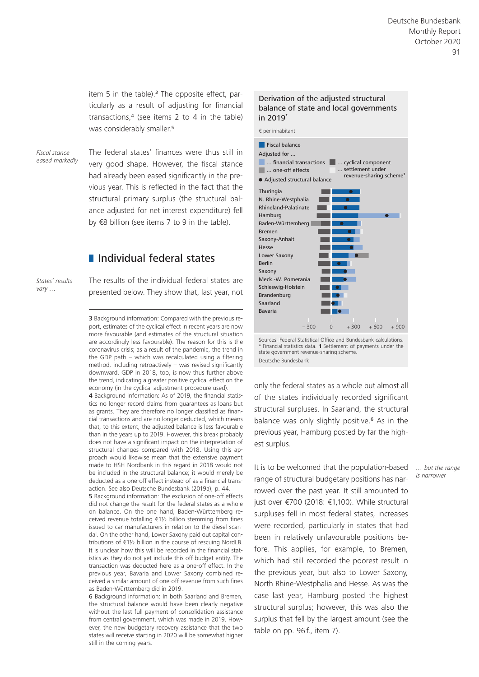item 5 in the table).<sup>3</sup> The opposite effect, particularly as a result of adjusting for financial transactions,4 (see items 2 to 4 in the table) was considerably smaller.<sup>5</sup>

*Fiscal stance eased markedly*

The federal states' finances were thus still in very good shape. However, the fiscal stance had already been eased significantly in the previous year. This is reflected in the fact that the structural primary surplus (the structural balance adjusted for net interest expenditure) fell by €8 billion (see items 7 to 9 in the table).

# **I** Individual federal states

*States' results vary …*

The results of the individual federal states are presented below. They show that, last year, not

3 Background information: Compared with the previous report, estimates of the cyclical effect in recent years are now more favourable (and estimates of the structural situation are accordingly less favourable). The reason for this is the coronavirus crisis; as a result of the pandemic, the trend in the GDP path – which was recalculated using a filtering method, including retroactively – was revised significantly downward. GDP in 2018, too, is now thus further above the trend, indicating a greater positive cyclical effect on the economy (in the cyclical adjustment procedure used).

4 Background information: As of 2019, the financial statistics no longer record claims from guarantees as loans but as grants. They are therefore no longer classified as financial transactions and are no longer deducted, which means that, to this extent, the adjusted balance is less favourable than in the years up to 2019. However, this break probably does not have a significant impact on the interpretation of structural changes compared with 2018. Using this approach would likewise mean that the extensive payment made to HSH Nordbank in this regard in 2018 would not be included in the structural balance; it would merely be deducted as a one-off effect instead of as a financial transaction. See also Deutsche Bundesbank (2019a), p. 44.

5 Background information: The exclusion of one-off effects did not change the result for the federal states as a whole on balance. On the one hand, Baden-Württemberg received revenue totalling €1½ billion stemming from fines issued to car manufacturers in relation to the diesel scandal. On the other hand, Lower Saxony paid out capital contributions of €1½ billion in the course of rescuing NordLB. It is unclear how this will be recorded in the financial statistics as they do not yet include this off-budget entity. The transaction was deducted here as a one-off effect. In the previous year, Bavaria and Lower Saxony combined received a similar amount of one-off revenue from such fines as Baden-Württemberg did in 2019.

6 Background information: In both Saarland and Bremen, the structural balance would have been clearly negative without the last full payment of consolidation assistance from central government, which was made in 2019. However, the new budgetary recovery assistance that the two states will receive starting in 2020 will be somewhat higher still in the coming years.

#### Derivation of the adjusted structural balance of state and local governments in 2019**\***



Sources: Federal Statistical Office and Bundesbank calculations. **\*** Financial statistics data. **1** Settlement of payments under the state government revenue-sharing scheme. Deutsche Bundesbank

only the federal states as a whole but almost all of the states individually recorded significant structural surpluses. In Saarland, the structural balance was only slightly positive.<sup>6</sup> As in the previous year, Hamburg posted by far the highest surplus.

It is to be welcomed that the population-based range of structural budgetary positions has narrowed over the past year. It still amounted to just over €700 (2018: €1,100). While structural surpluses fell in most federal states, increases were recorded, particularly in states that had been in relatively unfavourable positions before. This applies, for example, to Bremen, which had still recorded the poorest result in the previous year, but also to Lower Saxony, North Rhine-Westphalia and Hesse. As was the case last year, Hamburg posted the highest structural surplus; however, this was also the surplus that fell by the largest amount (see the table on pp. 96f., item 7).

*… but the range is narrower*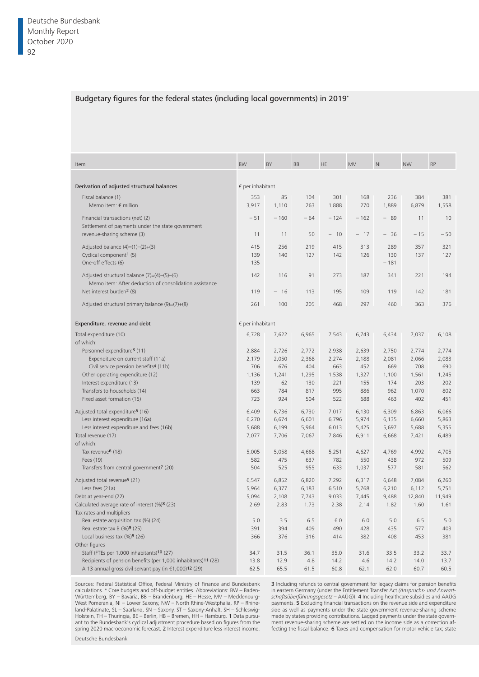#### Budgetary figures for the federal states (including local governments) in 2019\*

| Item                                                                         | <b>BW</b>                 | BY                             | <b>BB</b> | <b>HE</b> | <b>MV</b> | N <sub>l</sub> | <b>NW</b>  | <b>RP</b> |
|------------------------------------------------------------------------------|---------------------------|--------------------------------|-----------|-----------|-----------|----------------|------------|-----------|
|                                                                              |                           |                                |           |           |           |                |            |           |
| Derivation of adjusted structural balances                                   | $\epsilon$ per inhabitant |                                |           |           |           |                |            |           |
| Fiscal balance (1)                                                           | 353                       | 85                             | 104       | 301       | 168       | 236            | 384        | 381       |
| Memo item: $\notin$ million                                                  | 3,917                     | 1,110                          | 263       | 1,888     | 270       | 1,889          | 6,879      | 1,558     |
|                                                                              |                           |                                |           |           |           |                |            |           |
| Financial transactions (net) (2)                                             | $-51$                     | $-160$                         | $-64$     | $-124$    | $-162$    | $-89$          | 11         | 10        |
| Settlement of payments under the state government                            |                           |                                |           |           |           |                |            |           |
| revenue-sharing scheme (3)                                                   | 11                        | 11                             | 50        | $-10$     | $-17$     | $-36$          | $-15$      | $-50$     |
| Adjusted balance $(4)=(1)-(2)+(3)$                                           | 415                       | 256                            | 219       | 415       | 313       | 289            | 357        | 321       |
| Cyclical component <sup>1</sup> (5)                                          | 139                       | 140                            | 127       | 142       | 126       | 130            | 137        | 127       |
| One-off effects (6)                                                          | 135                       |                                |           |           |           | $-181$         |            |           |
|                                                                              |                           |                                |           |           |           |                |            |           |
| Adjusted structural balance $(7)=(4)-(5)-(6)$                                | 142                       | 116                            | 91        | 273       | 187       | 341            | 221        | 194       |
| Memo item: After deduction of consolidation assistance                       |                           |                                |           |           |           |                |            |           |
| Net interest burden <sup>2</sup> (8)                                         | 119                       | 16<br>$\overline{\phantom{a}}$ | 113       | 195       | 109       | 119            | 142        | 181       |
| Adjusted structural primary balance $(9)=(7)+(8)$                            | 261                       | 100                            | 205       | 468       | 297       | 460            | 363        | 376       |
|                                                                              |                           |                                |           |           |           |                |            |           |
|                                                                              |                           |                                |           |           |           |                |            |           |
| Expenditure, revenue and debt                                                | € per inhabitant          |                                |           |           |           |                |            |           |
| Total expenditure (10)                                                       | 6,728                     | 7,622                          | 6,965     | 7,543     | 6,743     | 6,434          | 7,037      | 6,108     |
| of which:                                                                    |                           |                                |           |           |           |                |            |           |
| Personnel expenditure <sup>3</sup> (11)                                      | 2,884                     | 2,726                          | 2,772     | 2,938     | 2,639     | 2,750          | 2,774      | 2,774     |
| Expenditure on current staff (11a)                                           | 2,179                     | 2,050                          | 2,368     | 2,274     | 2,188     | 2,081          | 2,066      | 2,083     |
| Civil service pension benefits <sup>4</sup> (11b)                            | 706                       | 676                            | 404       | 663       | 452       | 669            | 708        | 690       |
| Other operating expenditure (12)                                             | 1,136                     | 1,241                          | 1,295     | 1,538     | 1,327     | 1,100          | 1,561      | 1,245     |
| Interest expenditure (13)                                                    | 139                       | 62                             | 130       | 221       | 155       | 174            | 203        | 202       |
| Transfers to households (14)                                                 | 663                       | 784                            | 817       | 995       | 886       | 962            | 1,070      | 802       |
| Fixed asset formation (15)                                                   | 723                       | 924                            | 504       | 522       | 688       | 463            | 402        | 451       |
|                                                                              |                           |                                |           |           |           |                |            |           |
| Adjusted total expenditure <sup>5</sup> (16)                                 | 6,409                     | 6,736                          | 6,730     | 7,017     | 6,130     | 6,309          | 6,863      | 6,066     |
| Less interest expenditure (16a)                                              | 6,270                     | 6,674                          | 6,601     | 6,796     | 5,974     | 6,135          | 6,660      | 5,863     |
| Less interest expenditure and fees (16b)                                     | 5,688                     | 6,199                          | 5,964     | 6,013     | 5,425     | 5,697          | 5,688      | 5,355     |
| Total revenue (17)                                                           | 7,077                     | 7,706                          | 7,067     | 7,846     | 6,911     | 6,668          | 7,421      | 6,489     |
| of which:                                                                    |                           |                                |           |           |           |                |            |           |
| Tax revenue <sup>6</sup> (18)                                                | 5,005                     | 5,058                          | 4,668     | 5,251     | 4,627     | 4,769          | 4,992      | 4,705     |
| Fees (19)                                                                    | 582                       | 475                            | 637       | 782       | 550       | 438            | 972        | 509       |
| Transfers from central government7 (20)                                      | 504                       | 525                            | 955       | 633       | 1,037     | 577            | 581        | 562       |
| Adjusted total revenue <sup>5</sup> (21)                                     | 6,547                     | 6,852                          | 6,820     | 7,292     | 6,317     | 6,648          | 7,084      | 6,260     |
| Less fees (21a)                                                              | 5,964                     | 6,377                          | 6,183     | 6,510     | 5,768     | 6,210          | 6,112      | 5,751     |
| Debt at year-end (22)                                                        | 5,094                     | 2,108                          | 7.743     | 9,033     | 7.445     | 9,488          | 12,840     | 11,949    |
| Calculated average rate of interest (%)8 (23)                                | 2.69                      | 2.83                           | 1.73      | 2.38      | 2.14      | 1.82           | 1.60       | 1.61      |
|                                                                              |                           |                                |           |           |           |                |            |           |
| Tax rates and multipliers                                                    |                           | 3.5                            | 6.5       | 6.0       | 6.0       |                |            | 5.0       |
| Real estate acquisition tax (%) (24)<br>Real estate tax B (%)9 (25)          | 5.0<br>391                | 394                            | 409       | 490       | 428       | 5.0<br>435     | 6.5<br>577 | 403       |
|                                                                              |                           |                                |           |           |           |                |            |           |
| Local business tax $(\%)$ 9 (26)                                             | 366                       | 376                            | 316       | 414       | 382       | 408            | 453        | 381       |
| Other figures                                                                |                           |                                |           |           |           |                |            |           |
| Staff (FTEs per 1,000 inhabitants)10 (27)                                    | 34.7                      | 31.5                           | 36.1      | 35.0      | 31.6      | 33.5           | 33.2       | 33.7      |
| Recipients of pension benefits (per 1,000 inhabitants) <sup>11</sup> (28)    | 13.8                      | 12.9                           | 4.8       | 14.2      | 4.6       | 14.2           | 14.0       | 13.7      |
| A 13 annual gross civil servant pay (in $\epsilon$ 1,000) <sup>12</sup> (29) | 62.5                      | 65.5                           | 61.5      | 60.8      | 62.1      | 62.0           | 60.7       | 60.5      |

Sources: Federal Statistical Office, Federal Ministry of Finance and Bundesbank calculations. \* Core budgets and off-budget entities. Abbreviations: BW - Baden-Württemberg, BY – Bavaria, BB – Brandenburg, HE – Hesse, MV – Mecklenburg-West Pomerania, NI – Lower Saxony, NW – North Rhine-Westphalia, RP – Rhineland-Palatinate, SL – Saarland, SN – Saxony, ST – Saxony-Anhalt, SH – Schleswig-Holstein, TH – Thuringia, BE – Berlin, HB – Bremen, HH – Hamburg. 1 Data pursuant to the Bundesbank's cyclical adjustment procedure based on figures from the spring 2020 macroeconomic forecast. 2 Interest expenditure less interest income. Deutsche Bundesbank

3 Including refunds to central government for legacy claims for pension benefits in eastern Germany (under the Entitlement Transfer Act *(Anspruchs- und Anwartschaftsüberführungsgesetz* – AAÜG)). 4 Including healthcare subsidies and AAÜG payments. 5 Excluding financial transactions on the revenue side and expenditure side as well as payments under the state government revenue- sharing scheme made by states providing contributions. Lagged payments under the state government revenue-sharing scheme are settled on the income side as a correction affecting the fiscal balance. 6 Taxes and compensation for motor vehicle tax; state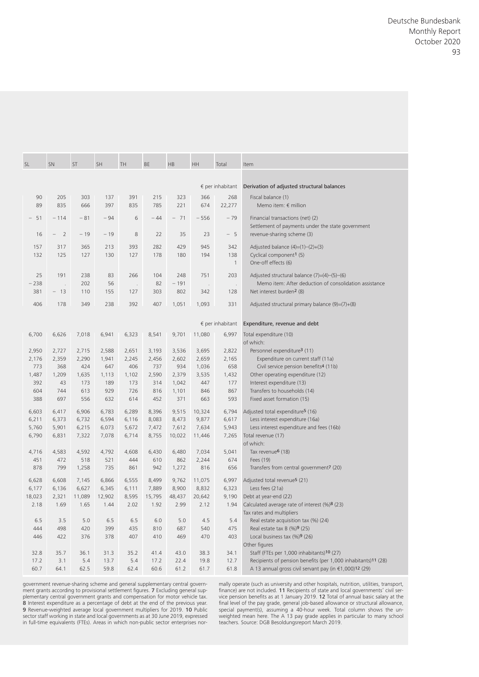|        |                |                |                |                |                |                |                              |                   |                           | Deutsche Bundesbank                                                                                                                 |
|--------|----------------|----------------|----------------|----------------|----------------|----------------|------------------------------|-------------------|---------------------------|-------------------------------------------------------------------------------------------------------------------------------------|
|        |                |                |                |                |                |                |                              |                   |                           |                                                                                                                                     |
|        |                |                |                |                |                |                |                              |                   |                           |                                                                                                                                     |
|        |                |                |                |                |                |                |                              |                   |                           |                                                                                                                                     |
|        |                |                |                |                |                |                |                              |                   |                           |                                                                                                                                     |
|        |                |                |                |                |                |                |                              |                   |                           |                                                                                                                                     |
|        |                |                |                |                |                |                |                              |                   |                           |                                                                                                                                     |
|        |                |                |                |                |                |                |                              |                   |                           |                                                                                                                                     |
|        |                |                |                |                |                |                |                              |                   |                           |                                                                                                                                     |
|        |                |                |                |                |                |                |                              |                   |                           |                                                                                                                                     |
|        |                |                |                |                |                |                |                              |                   |                           |                                                                                                                                     |
| SL     | SN             | ST             |                | SH             | TH             | BE             | $\mathsf{HB}$                | HH                | Total                     | Item                                                                                                                                |
|        |                |                |                |                |                |                |                              |                   |                           |                                                                                                                                     |
|        |                |                |                |                |                |                |                              |                   | $\epsilon$ per inhabitant | Derivation of adjusted structural balances                                                                                          |
|        | 90             | 205            | 303            | 137            | 391            | 215            | 323                          | 366               | 268                       | Fiscal balance (1)                                                                                                                  |
|        | 89             | 835            | 666            | 397            | 835            | 785            | 221                          | 674               | 22,277                    | Memo item: $\notin$ million                                                                                                         |
|        | $-51$          | $-114$         | $-81$          | $-94$          | 6              | $-44$          | $-71$                        | $-556$            | $-79$                     | Financial transactions (net) (2)                                                                                                    |
|        | 16<br>$ \,$    | 2              | $-19$          | $-19$          | 8              | 22             | 35                           | 23                | $-5$                      | Settlement of payments under the state government<br>revenue-sharing scheme (3)                                                     |
|        |                |                |                |                |                |                |                              |                   |                           |                                                                                                                                     |
|        | 157<br>132     | 317<br>125     | 365<br>127     | 213<br>130     | 393<br>127     | 282<br>178     | 429<br>180                   | 945<br>194        | 342<br>138                | Adjusted balance (4)=(1)-(2)+(3)<br>Cyclical component <sup>1</sup> (5)                                                             |
|        |                |                |                |                |                |                |                              |                   |                           | One-off effects (6)                                                                                                                 |
|        | 25             | 191            | 238            | 83             | 266            | 104            | 248                          | 751               | 203                       | Adjusted structural balance $(7)=(4)-(5)-(6)$                                                                                       |
|        | $-238$<br>381  | $-13$          | 202<br>110     | 56<br>155      | 127            | 82<br>303      | $-191$<br>802                | $\sim 100$<br>342 | 128                       | Memo item: After deduction of consolidation assistance<br>Net interest burden <sup>2</sup> (8)                                      |
|        |                |                |                |                |                |                |                              |                   |                           |                                                                                                                                     |
|        | 406            | 178            | 349            | 238            | 392            | 407            | 1,051                        | 1,093             | 331                       | Adjusted structural primary balance (9)=(7)+(8)                                                                                     |
|        |                |                |                |                |                |                |                              |                   |                           | € per inhabitant Expenditure, revenue and debt                                                                                      |
|        | 6,700          | 6,626          | 7,018          | 6,941          | 6,323          | 8,541          | 9,701 11,080                 |                   |                           | 6,997 Total expenditure (10)                                                                                                        |
|        |                |                |                |                |                |                |                              |                   |                           | of which:                                                                                                                           |
|        | 2,950<br>2,176 | 2,727<br>2,359 | 2,715<br>2,290 | 2,588<br>1,941 | 2,651<br>2,245 | 3,193<br>2,456 | 3,536<br>2,602               | 3,695<br>2,659    | 2,822<br>2,165            | Personnel expenditure <sup>3</sup> (11)<br>Expenditure on current staff (11a)                                                       |
|        | 773            | 368            | 424            | 647            | 406            | 737            | 934                          | 1,036             | 658                       | Civil service pension benefits <sup>4</sup> (11b)                                                                                   |
|        | 1,487          | 1,209          | 1,635          | 1,113          | 1,102          | 2,590          | 2,379                        | 3,535             | 1,432                     | Other operating expenditure (12)                                                                                                    |
|        | 392<br>604     | 43<br>744      | 173<br>613     | 189<br>929     | 173<br>726     | 314<br>816     | 1,042<br>1,101               | 447<br>846        | 177<br>867                | Interest expenditure (13)<br>Transfers to households (14)                                                                           |
|        | 388            | 697            | 556            | 632            | 614            | 452            | 371                          | 663               | 593                       | Fixed asset formation (15)                                                                                                          |
|        | 6,603          | 6,417          | 6,906          | 6,783          | 6,289          | 8,396          |                              | 9,515 10,324      | 6,794                     | Adjusted total expenditure <sup>5</sup> (16)                                                                                        |
|        | 6,211          | 6,373          | 6,732          | 6,594          | 6,116          | 8,083          | 8,473                        | 9,877             | 6,617                     | Less interest expenditure (16a)                                                                                                     |
|        | 5,760<br>6,790 | 5,901<br>6,831 | 6,215<br>7,322 | 6,073<br>7,078 | 5,672<br>6,714 | 7,472          | 7,612<br>8,755 10,022 11,446 | 7,634             | 5,943<br>7,265            | Less interest expenditure and fees (16b)<br>Total revenue (17)                                                                      |
|        |                |                |                |                |                |                |                              |                   |                           | of which:                                                                                                                           |
|        | 4,716<br>451   | 4,583<br>472   | 4,592<br>518   | 4,792<br>521   | 4,608<br>444   | 6,430<br>610   | 6,480<br>862                 | 7,034<br>2,244    | 5,041<br>674              | Tax revenue <sup>6</sup> (18)<br>Fees (19)                                                                                          |
|        | 878            | 799            | 1,258          | 735            | 861            | 942            | 1,272                        | 816               | 656                       | Transfers from central government <sup>7</sup> (20)                                                                                 |
|        |                | 6,608          | 7,145          | 6,866          | 6,555          | 8,499          |                              | 9,762 11,075      | 6,997                     | Adjusted total revenue <sup>5</sup> (21)                                                                                            |
|        | 6,628          |                | 6,627          | 6,345          | 6,111          | 7,889          | 8,900                        | 8,832             | 6,323                     | Less fees (21a)                                                                                                                     |
|        | 6,177          | 6,136          |                |                | 8,595          | 15,795         | 48,437 20,642<br>2.99        | 2.12              | 9,190<br>1.94             | Debt at year-end (22)<br>Calculated average rate of interest (%)8 (23)                                                              |
| 18,023 |                | 2,321          | 11,089         | 12,902         |                |                |                              |                   |                           |                                                                                                                                     |
|        | 2.18           | 1.69           | 1.65           | 1.44           | 2.02           | 1.92           |                              |                   |                           | Tax rates and multipliers                                                                                                           |
|        | 6.5            | 3.5            | 5.0            | 6.5            | 6.5            | 6.0            | 5.0                          | 4.5               | 5.4                       | Real estate acquisition tax (%) (24)                                                                                                |
|        | 444            | 498            | 420            | 399            | 435            | 810            | 687                          | 540               | 475                       | Real estate tax B (%)9 (25)                                                                                                         |
|        | 446            | 422            | 376            | 378            | 407            | 410            | 469                          | 470               | 403                       | Local business tax (%) <sup>9</sup> (26)<br>Other figures                                                                           |
|        | 32.8           | 35.7           | 36.1           | 31.3           | 35.2           | 41.4           | 43.0                         | 38.3              | 34.1                      | Staff (FTEs per 1,000 inhabitants)10 (27)                                                                                           |
|        | 17.2<br>60.7   | 3.1<br>64.1    | 5.4<br>62.5    | 13.7<br>59.8   | 5.4<br>62.4    | 17.2<br>60.6   | 22.4                         | 19.8<br>61.2 61.7 | 12.7<br>61.8              | Recipients of pension benefits (per 1,000 inhabitants) <sup>11</sup> (28)<br>A 13 annual gross civil servant pay (in €1,000)12 (29) |

government revenue- sharing scheme and general supplementary central government grants according to provisional settlement figures. **7** Excluding general sup-<br>plementary central government grants and compensation for motor vehicle tax. **8** Interest expenditure as a percentage of debt at the end of the previous year.<br>9 Revenue-weighted average local government multipliers for 2019. 10 Public<br>sector staff working in state and local governments as at 30 Jun in full-time equivalents (FTEs). Areas in which non-public sector enterprises normally operate (such as university and other hospitals, nutrition, utilities, transport, finance) are not included. 11 Recipients of state and local governments' civil service pension benefits as at 1 January 2019. 12 Total of annual basic salary at the<br>final level of the pay grade, general job-based allowance or structural allowance, special payment(s), assuming a 40-hour week. Total column shows the unweighted mean here. The A 13 pay grade applies in particular to many school teachers. Source: DGB Besoldungsreport March 2019.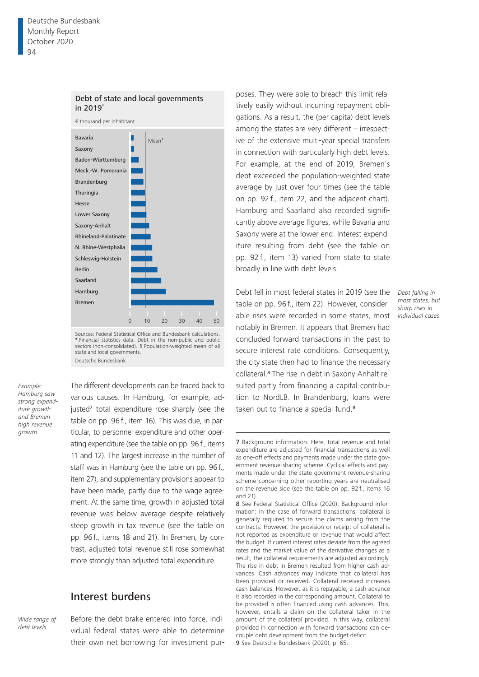

Sources: Federal Statistical Office and Bundesbank calculations. **\*** Financial statistics data. Debt in the non-public and public sectors (non-consolidated). **1** Population-weighted mean of all state and local governments. Deutsche Bundesbank

*Example: Hamburg saw strong expenditure growth and Bremen high revenue growth*

The different developments can be traced back to various causes. In Hamburg, for example, adjusted<sup>7</sup> total expenditure rose sharply (see the table on pp. 96 f., item 16). This was due, in particular, to personnel expenditure and other operating expenditure (see the table on pp. 96 f., items 11 and 12). The largest increase in the number of staff was in Hamburg (see the table on pp. 96 f., item 27), and supplementary provisions appear to have been made, partly due to the wage agreement. At the same time, growth in adjusted total revenue was below average despite relatively steep growth in tax revenue (see the table on pp. 96 f., items 18 and 21). In Bremen, by contrast, adjusted total revenue still rose somewhat more strongly than adjusted total expenditure.

## Interest burdens

*Wide range of debt levels*

Before the debt brake entered into force, individual federal states were able to determine their own net borrowing for investment pur-

poses. They were able to breach this limit relatively easily without incurring repayment obligations. As a result, the (per capita) debt levels among the states are very different – irrespective of the extensive multi-year special transfers in connection with particularly high debt levels. For example, at the end of 2019, Bremen's debt exceeded the population-weighted state average by just over four times (see the table on pp. 92 f., item 22, and the adjacent chart). Hamburg and Saarland also recorded significantly above average figures, while Bavaria and Saxony were at the lower end. Interest expenditure resulting from debt (see the table on pp. 92 f., item 13) varied from state to state broadly in line with debt levels.

Debt fell in most federal states in 2019 (see the table on pp. 96 f., item 22). However, considerable rises were recorded in some states, most notably in Bremen. It appears that Bremen had concluded forward transactions in the past to secure interest rate conditions. Consequently, the city state then had to finance the necessary collateral.8 The rise in debt in Saxony-Anhalt resulted partly from financing a capital contribution to NordLB. In Brandenburg, loans were taken out to finance a special fund.<sup>9</sup>

*Debt falling in most states, but sharp rises in individual cases*

<sup>7</sup> Background information: Here, total revenue and total expenditure are adjusted for financial transactions as well as one-off effects and payments made under the state government revenue-sharing scheme. Cyclical effects and payments made under the state government revenue-sharing scheme concerning other reporting years are neutralised on the revenue side (see the table on pp. 92 f., items 16 and 21).

<sup>8</sup> See Federal Statistical Office (2020). Background information: In the case of forward transactions, collateral is generally required to secure the claims arising from the contracts. However, the provision or receipt of collateral is not reported as expenditure or revenue that would affect the budget. If current interest rates deviate from the agreed rates and the market value of the derivative changes as a result, the collateral requirements are adjusted accordingly. The rise in debt in Bremen resulted from higher cash advances. Cash advances may indicate that collateral has been provided or received. Collateral received increases cash balances. However, as it is repayable, a cash advance is also recorded in the corresponding amount. Collateral to be provided is often financed using cash advances. This, however, entails a claim on the collateral taker in the amount of the collateral provided. In this way, collateral provided in connection with forward transactions can decouple debt development from the budget deficit. 9 See Deutsche Bundesbank (2020), p. 65.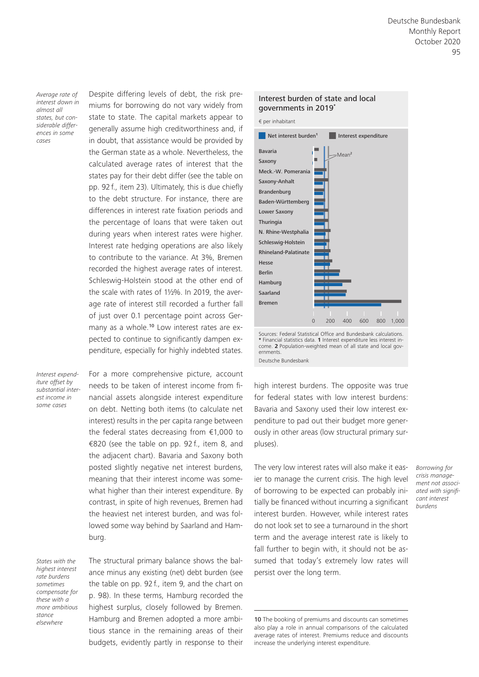*Average rate of interest down in almost all states, but considerable differences in some cases*

Despite differing levels of debt, the risk premiums for borrowing do not vary widely from state to state. The capital markets appear to generally assume high creditworthiness and, if in doubt, that assistance would be provided by the German state as a whole. Nevertheless, the calculated average rates of interest that the states pay for their debt differ (see the table on pp. 92 f., item 23). Ultimately, this is due chiefly to the debt structure. For instance, there are differences in interest rate fixation periods and the percentage of loans that were taken out during years when interest rates were higher. Interest rate hedging operations are also likely to contribute to the variance. At 3%, Bremen recorded the highest average rates of interest. Schleswig-Holstein stood at the other end of the scale with rates of 1½%. In 2019, the average rate of interest still recorded a further fall of just over 0.1 percentage point across Germany as a whole.<sup>10</sup> Low interest rates are expected to continue to significantly dampen expenditure, especially for highly indebted states.

*Interest expenditure offset by substantial interest income in some cases*

For a more comprehensive picture, account needs to be taken of interest income from financial assets alongside interest expenditure on debt. Netting both items (to calculate net interest) results in the per capita range between the federal states decreasing from €1,000 to €820 (see the table on pp. 92 f., item 8, and the adjacent chart). Bavaria and Saxony both posted slightly negative net interest burdens, meaning that their interest income was somewhat higher than their interest expenditure. By contrast, in spite of high revenues, Bremen had the heaviest net interest burden, and was followed some way behind by Saarland and Hamburg.

*States with the highest interest rate burdens sometimes compensate for these with a more ambitious stance elsewhere*

The structural primary balance shows the balance minus any existing (net) debt burden (see the table on pp. 92 f., item 9, and the chart on p. 98). In these terms, Hamburg recorded the highest surplus, closely followed by Bremen. Hamburg and Bremen adopted a more ambitious stance in the remaining areas of their budgets, evidently partly in response to their



Sources: Federal Statistical Office and Bundesbank calculations. **\*** Financial statistics data. **1** Interest expenditure less interest in-come. **2** Population-weighted mean of all state and local governments. Deutsche Bundesbank

Bremen Saarland Hamburg Berlin Hesse

Rhineland-Palatinate

0 200 400 600 800 1,000

high interest burdens. The opposite was true for federal states with low interest burdens: Bavaria and Saxony used their low interest expenditure to pad out their budget more generously in other areas (low structural primary surpluses).

The very low interest rates will also make it easier to manage the current crisis. The high level of borrowing to be expected can probably initially be financed without incurring a significant interest burden. However, while interest rates do not look set to see a turnaround in the short term and the average interest rate is likely to fall further to begin with, it should not be assumed that today's extremely low rates will persist over the long term.

*Borrowing for crisis management not associated with significant interest burdens*

<sup>10</sup> The booking of premiums and discounts can sometimes also play a role in annual comparisons of the calculated average rates of interest. Premiums reduce and discounts increase the underlying interest expenditure.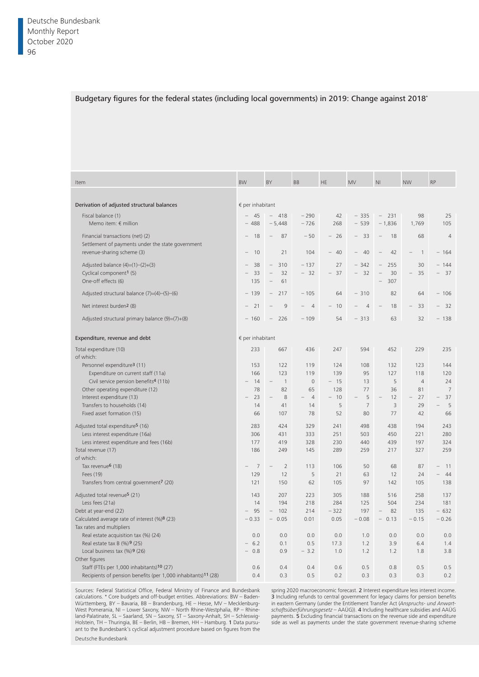#### Budgetary figures for the federal states (including local governments) in 2019: Change against 2018\*

| Item                                                          | BW                        | BY                                         | BB                                                | <b>HE</b> | MV                             | N <sub>l</sub>                   | <b>NW</b>                                | RP             |
|---------------------------------------------------------------|---------------------------|--------------------------------------------|---------------------------------------------------|-----------|--------------------------------|----------------------------------|------------------------------------------|----------------|
|                                                               |                           |                                            |                                                   |           |                                |                                  |                                          |                |
| Derivation of adjusted structural balances                    | $\epsilon$ per inhabitant |                                            |                                                   |           |                                |                                  |                                          |                |
| Fiscal balance (1)                                            | $-45$                     | $-418$                                     | $-290$                                            | 42        | $-335$                         | $-231$                           | 98                                       | 25             |
| Memo item: $\notin$ million                                   | $-488$                    | $-5,448$                                   | $-726$                                            | 268       | $-539$                         | $-1,836$                         | 1,769                                    | 105            |
|                                                               |                           |                                            |                                                   |           |                                |                                  |                                          |                |
| Financial transactions (net) (2)                              | $-18$                     | 87<br>$\overline{\phantom{a}}$             | $-50$                                             | $-26$     | $-33$                          | 18<br>$\overline{\phantom{0}}$   | 68                                       | $\overline{4}$ |
| Settlement of payments under the state government             |                           |                                            |                                                   |           |                                |                                  |                                          |                |
| revenue-sharing scheme (3)                                    | $-10$                     | 21                                         | 104                                               | $-40$     | 40<br>$\hspace{0.1mm}$         | 42<br>$\overline{\phantom{a}}$   | $\overline{\phantom{0}}$<br>$\mathbf{1}$ | $-164$         |
|                                                               |                           |                                            |                                                   |           |                                |                                  |                                          |                |
| Adjusted balance $(4)=(1)-(2)+(3)$                            | $-38$                     | 310<br>$\hspace{0.1mm}-\hspace{0.1mm}$     | $-137$                                            | 27        | $-342$                         | 255<br>$-$                       | 30                                       | $-144$         |
| Cyclical component <sup>1</sup> (5)                           | $-33$                     | 32<br>$\hspace{0.1mm}-\hspace{0.1mm}$      | $-32$                                             | $-37$     | 32<br>$\overline{\phantom{a}}$ | 30<br>$-$                        | $-35$                                    | $-37$          |
| One-off effects (6)                                           | 135                       | $- 61$                                     |                                                   |           |                                | $-307$                           |                                          |                |
|                                                               |                           |                                            |                                                   |           |                                |                                  |                                          |                |
| Adjusted structural balance $(7)=(4)-(5)-(6)$                 | $-139$                    | 217<br>$\overline{\phantom{a}}$            | $-105$                                            | 64        | $-310$                         | 82                               | 64                                       | $-106$         |
| Net interest burden <sup>2</sup> (8)                          | $-21$                     | 9                                          | $\hspace{0.1mm}-\hspace{0.1mm}$<br>$\overline{4}$ | $-10$     | $-4$                           | 18<br>$\overline{\phantom{a}}$   | $-33$                                    | $-32$          |
|                                                               |                           |                                            |                                                   |           |                                |                                  |                                          |                |
| Adjusted structural primary balance (9)=(7)+(8)               | $-160$                    | 226<br>$\hspace{0.1mm}-\hspace{0.1mm}$     | $-109$                                            | 54        | $-313$                         | 63                               | 32                                       | $-138$         |
|                                                               |                           |                                            |                                                   |           |                                |                                  |                                          |                |
|                                                               |                           |                                            |                                                   |           |                                |                                  |                                          |                |
| Expenditure, revenue and debt                                 | $\epsilon$ per inhabitant |                                            |                                                   |           |                                |                                  |                                          |                |
| Total expenditure (10)                                        | 233                       | 667                                        | 436                                               | 247       | 594                            | 452                              | 229                                      | 235            |
| of which:                                                     |                           |                                            |                                                   |           |                                |                                  |                                          |                |
| Personnel expenditure <sup>3</sup> (11)                       | 153                       | 122                                        | 119                                               | 124       | 108                            | 132                              | 123                                      | 144            |
|                                                               |                           |                                            |                                                   |           |                                |                                  |                                          |                |
| Expenditure on current staff (11a)                            | 166                       | 123                                        | 119                                               | 139       | 95                             | 127                              | 118                                      | 120            |
| Civil service pension benefits <sup>4</sup> (11b)             | $-14$                     | $\overline{1}$<br>$\overline{\phantom{a}}$ | $\circ$                                           | $-15$     | 13                             | 5                                | $\overline{4}$                           | 24             |
| Other operating expenditure (12)                              | 78                        | 82                                         | 65                                                | 128       | 77                             | 36                               | 81                                       | 7              |
| Interest expenditure (13)                                     | $-23$                     | 8                                          | $\overline{4}$                                    | $-10$     | 5                              | 12                               | $-27$                                    | $-37$          |
| Transfers to households (14)                                  | 14                        | 41                                         | 14                                                | - 5       | $\overline{7}$                 | $\overline{3}$                   | 29                                       | -5             |
| Fixed asset formation (15)                                    | 66                        | 107                                        | 78                                                | 52        | 80                             | 77                               | 42                                       | 66             |
|                                                               |                           |                                            |                                                   |           |                                |                                  |                                          |                |
| Adjusted total expenditure <sup>5</sup> (16)                  | 283                       | 424                                        | 329                                               | 241       | 498                            | 438                              | 194                                      | 243            |
| Less interest expenditure (16a)                               | 306                       | 431                                        | 333                                               | 251       | 503                            | 450                              | 221                                      | 280            |
|                                                               |                           |                                            |                                                   |           |                                |                                  |                                          |                |
| Less interest expenditure and fees (16b)                      | 177                       | 419                                        | 328                                               | 230       | 440                            | 439                              | 197                                      | 324            |
| Total revenue (17)                                            | 186                       | 249                                        | 145                                               | 289       | 259                            | 217                              | 327                                      | 259            |
| of which:                                                     |                           |                                            |                                                   |           |                                |                                  |                                          |                |
| Tax revenue <sup>6</sup> (18)                                 | 7<br>$\equiv$             | $\overline{2}$                             | 113                                               | 106       | 50                             | 68                               | 87                                       | $-11$          |
| Fees (19)                                                     | 129                       | 12                                         | 5                                                 | 21        | 63                             | 12                               | 24                                       | $-44$          |
| Transfers from central government7 (20)                       | 121                       | 150                                        | 62                                                | 105       | 97                             | 142                              | 105                                      | 138            |
|                                                               |                           |                                            |                                                   |           |                                |                                  |                                          |                |
| Adjusted total revenue <sup>5</sup> (21)                      | 143                       | 207                                        | 223                                               | 305       | 188                            | 516                              | 258                                      | 137            |
| Less fees (21a)                                               | 14                        | 194                                        | 218                                               | 284       | 125                            | 504                              | 234                                      | 181            |
| Debt at year-end (22)                                         | $-95$                     | 102                                        | 214                                               | $-322$    | 197                            | 82<br>$\overline{\phantom{a}}$   | 135                                      | $-632$         |
| Calculated average rate of interest (%)8 (23)                 | $-0.33$                   | 0.05<br>$\overline{\phantom{a}}$           | 0.01                                              | 0.05      | $-0.08$                        | 0.13<br>$\overline{\phantom{a}}$ | $-0.15$                                  | $-0.26$        |
|                                                               |                           |                                            |                                                   |           |                                |                                  |                                          |                |
| Tax rates and multipliers                                     |                           |                                            |                                                   |           |                                |                                  |                                          |                |
| Real estate acquisition tax (%) (24)                          | 0.0                       | 0.0                                        | 0.0                                               | 0.0       | 1.0                            | 0.0                              | 0.0                                      | 0.0            |
| Real estate tax B $(\%)$ 9 (25)                               | $-6.2$                    | 0.1                                        | 0.5                                               | 17.3      | 1.2                            | 3.9                              | 6.4                                      | 1.4            |
| Local business tax $(\%)$ <sup>9</sup> (26)                   | $-0.8$                    | 0.9                                        | $-3.2$                                            | 1.0       | 1.2                            | 1.2                              | 1.8                                      | 3.8            |
| Other figures                                                 |                           |                                            |                                                   |           |                                |                                  |                                          |                |
| Staff (FTEs per 1,000 inhabitants) <sup>10</sup> (27)         | 0.6                       | 0.4                                        | 0.4                                               | 0.6       | 0.5                            | 0.8                              | 0.5                                      | 0.5            |
|                                                               |                           |                                            |                                                   |           |                                |                                  |                                          |                |
| Recipients of pension benefits (per 1,000 inhabitants)11 (28) | 0.4                       | 0.3                                        | 0.5                                               | 0.2       | 0.3                            | 0.3                              | 0.3                                      | 0.2            |

Sources: Federal Statistical Office, Federal Ministry of Finance and Bundesbank calculations. \* Core budgets and off-budget entities. Abbreviations: BW - Baden-Württemberg, BY – Bavaria, BB – Brandenburg, HE – Hesse, MV – Mecklenburg-West Pomerania, NI - Lower Saxony, NW - North Rhine-Westphalia, RP - Rhineland-Palatinate, SL – Saarland, SN – Saxony, ST – Saxony-Anhalt, SH – Schleswig-Holstein, TH – Thuringia, BE – Berlin, HB – Bremen, HH – Hamburg. 1 Data pursuant to the Bundesbank's cyclical adjustment procedure based on figures from the Deutsche Bundesbank

spring 2020 macroeconomic forecast. 2 Interest expenditure less interest income. 3 Including refunds to central government for legacy claims for pension benefits<br>in eastern Germany (under the Entitlement Transfer Act (*Anspruchs- und Anwartschaftsüberführungsgesetz* – AAÜG)). 4 Including healthcare subsidies and AAÜG payments. 5 Excluding financial transactions on the revenue side and expenditure side as well as payments under the state government revenue-sharing scheme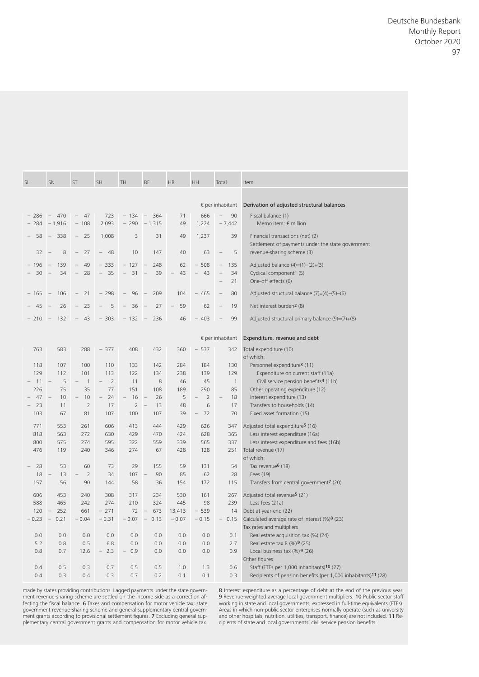|    |                |                |                          |                   |                                    |                                          |                       |                       |                     | Deutsche Bundesbank                                                                                |
|----|----------------|----------------|--------------------------|-------------------|------------------------------------|------------------------------------------|-----------------------|-----------------------|---------------------|----------------------------------------------------------------------------------------------------|
|    |                |                |                          |                   |                                    |                                          |                       |                       |                     |                                                                                                    |
|    |                |                |                          |                   |                                    |                                          |                       |                       |                     |                                                                                                    |
|    |                |                |                          |                   |                                    |                                          |                       |                       |                     |                                                                                                    |
|    |                |                |                          |                   |                                    |                                          |                       |                       |                     |                                                                                                    |
|    |                |                |                          |                   |                                    |                                          |                       |                       |                     |                                                                                                    |
|    |                |                |                          |                   |                                    |                                          |                       |                       |                     |                                                                                                    |
|    |                |                |                          |                   |                                    |                                          |                       |                       |                     |                                                                                                    |
|    |                |                |                          |                   |                                    |                                          |                       |                       |                     |                                                                                                    |
|    |                |                |                          |                   |                                    |                                          |                       |                       |                     |                                                                                                    |
|    |                |                |                          |                   |                                    |                                          |                       |                       |                     |                                                                                                    |
|    |                |                |                          |                   |                                    |                                          |                       |                       |                     |                                                                                                    |
|    |                |                |                          |                   |                                    |                                          |                       |                       |                     |                                                                                                    |
|    |                |                |                          |                   |                                    |                                          |                       |                       |                     |                                                                                                    |
|    |                |                |                          |                   |                                    |                                          |                       |                       |                     |                                                                                                    |
| SL |                | SN             | ST                       | SH                | TH.                                | BE                                       | HB                    | HH                    | Total               | Item                                                                                               |
|    |                |                |                          |                   |                                    |                                          |                       |                       |                     |                                                                                                    |
|    |                |                |                          |                   |                                    |                                          |                       |                       |                     | € per inhabitant  Derivation of adjusted structural balances                                       |
|    | $-286$         |                | $-470 - 47$              |                   | $723 - 134 - 364$                  |                                          | 71                    | 666                   | $-90$               | Fiscal balance (1)                                                                                 |
|    | $-284$         |                | $-1,916 - 108$           |                   | $2,093 - 290 - 1,315$              |                                          |                       |                       | $49$ 1,224 $-7,442$ | Memo item: $\notin$ million                                                                        |
|    |                |                | $-58$ $-338$ $-25$ 1,008 |                   |                                    | 3 31                                     |                       | 49 1,237              | 39                  | Financial transactions (net) (2)                                                                   |
|    |                |                |                          |                   |                                    |                                          |                       |                       |                     | Settlement of payments under the state government                                                  |
|    |                |                | $32 - 8 - 27 - 48$       |                   | 10                                 | 147                                      | 40                    |                       | $63 - 5$            | revenue-sharing scheme (3)                                                                         |
|    | $-196$         | $-139$         |                          |                   | $-49$ $-333$ $-127$ $-248$         |                                          | 62                    |                       | $-508 - 135$        | Adjusted balance (4)=(1)-(2)+(3)                                                                   |
|    | $-30$          |                |                          |                   |                                    | $-34$ $-28$ $-35$ $-31$ $-39$            |                       |                       | $-43 -43 -34$       | Cyclical component <sup>1</sup> (5)                                                                |
|    |                |                |                          |                   |                                    |                                          |                       |                       | $-21$               | One-off effects (6)                                                                                |
|    |                |                |                          |                   | $-165$ - 106 - 21 - 298 - 96 - 209 |                                          |                       |                       | $104 - 465 - 80$    | Adjusted structural balance (7)=(4)-(5)-(6)                                                        |
|    |                |                |                          |                   |                                    | $-45$ $-26$ $-23$ $-5$ $-36$ $-27$ $-59$ |                       |                       | $62 - 19$           | Net interest burden <sup>2</sup> (8)                                                               |
|    |                |                |                          |                   |                                    | $-210$ - 132 - 43 - 303 - 132 - 236      |                       |                       | $46 - 403 - 99$     | Adjusted structural primary balance (9)=(7)+(8)                                                    |
|    |                |                |                          |                   |                                    |                                          |                       |                       |                     |                                                                                                    |
|    |                |                |                          |                   |                                    |                                          |                       |                       |                     | € per inhabitant Expenditure, revenue and debt                                                     |
|    | 763            | 583            |                          | $288 - 377$       | 408                                | 432                                      |                       | $360 - 537$           |                     | 342 Total expenditure (10)                                                                         |
|    |                |                |                          |                   |                                    |                                          |                       |                       |                     | of which:                                                                                          |
|    | 118            | 107            | 100                      | 110               | 133                                | 142                                      | 284                   | 184                   | 130                 | Personnel expenditure <sup>3</sup> (11)                                                            |
|    | 129<br>$-11 -$ | 112<br>5       | 101                      | 113               | 122<br>11                          | 134                                      | 238<br>46             | 139<br>45             | 129                 | Expenditure on current staff (11a)<br>Civil service pension benefits <sup>4</sup> (11b)            |
|    | 226            | 75             | 35                       | 77                | 151                                | 108                                      | 189                   | 290                   | 85                  | Other operating expenditure (12)                                                                   |
|    | $-47$          | 10             | 10                       | 24                | 16                                 | 26                                       | - 5                   | $\overline{2}$<br>$-$ | 18<br>$-$           | Interest expenditure (13)                                                                          |
|    | $-23$          | 11             |                          | 17                | $\overline{2}$                     | 13                                       | 48                    | 6                     | 17                  | Transfers to households (14)                                                                       |
|    | 103            | 67             | 81                       | 107               | 100                                | 107                                      | 39                    | $-72$                 | 70                  | Fixed asset formation (15)                                                                         |
|    | 771            | 553            | 261                      | 606               | 413                                | 444                                      | 429                   | 626                   | 347                 | Adjusted total expenditure <sup>5</sup> (16)                                                       |
|    | 818            | 563            | 272                      | 630               | 429                                | 470                                      | 424                   | 628                   | 365                 | Less interest expenditure (16a)                                                                    |
|    | 800            | 575            | 274<br>240               | 595               | 322<br>274                         | 559                                      | 339<br>428            | 565                   | 337                 | Less interest expenditure and fees (16b)                                                           |
|    | 476            | 119            |                          | 346               |                                    | 67                                       |                       | 128                   |                     | 251 Total revenue (17)<br>of which:                                                                |
|    | $-28$          | 53             | 60                       | 73                | 29                                 | 155                                      | 59                    | 131                   | 54                  | Tax revenue <sup>6</sup> (18)                                                                      |
|    | 18             | 13             | $\overline{2}$<br>$ \,$  | 34                | 107                                | 90                                       | 85                    | 62                    | 28                  | Fees (19)                                                                                          |
|    | 157            | 56             | 90                       | 144               | 58                                 | 36                                       | 154                   | 172                   | 115                 | Transfers from central government7 (20)                                                            |
|    | 606            | 453            | 240                      | 308               | 317                                | 234                                      | 530                   | 161                   | 267                 | Adjusted total revenue <sup>5</sup> (21)                                                           |
|    | 588            | 465            | 242                      | 274               | 210                                | 324                                      | 445                   | 98                    | 239                 | Less fees (21a)                                                                                    |
|    | 120<br>$-0.23$ | 252<br>$-0.21$ | 661<br>$-0.04$           | $-271$<br>$-0.31$ | $-0.07$                            | $72 -$<br>$-0.13$                        | 673 13,413<br>$-0.07$ | $-539$<br>$-0.15$     |                     | 14 Debt at year-end (22)<br>$-$ 0.15 Calculated average rate of interest $(\% )$ <sup>8</sup> (23) |
|    |                |                |                          |                   |                                    |                                          |                       |                       |                     | Tax rates and multipliers                                                                          |
|    | 0.0            | 0.0            | 0.0                      | 0.0               | 0.0                                | 0.0                                      | 0.0                   | 0.0                   | 0.1                 | Real estate acquisition tax (%) (24)                                                               |
|    | 5.2            | 0.8            | 0.5                      | 6.8               | 0.0                                | 0.0                                      | 0.0                   | 0.0                   | 2.7                 | Real estate tax B $(\%)$ 9 $(25)$                                                                  |
|    | 0.8            | 0.7            | 12.6                     | $-2.3$            | $-0.9$                             | 0.0                                      | 0.0                   | 0.0                   | 0.9                 | Local business tax (%) 9 (26)                                                                      |
|    |                |                |                          |                   |                                    |                                          |                       |                       |                     | Other figures                                                                                      |
|    | 0.4            | 0.5            | 0.3                      | 0.7               | 0.5                                | 0.5                                      | 1.0                   | 1.3                   | 0.6                 | Staff (FTEs per 1,000 inhabitants)10 (27)                                                          |

made by states providing contributions. Lagged payments under the state government revenue- sharing scheme are settled on the income side as a correction affecting the fiscal balance. **6** Taxes and compensation for motor vehicle tax; state<br>government revenue-sharing scheme and general supplementary central government grants according to provisional settlement figures. 7 Excluding general supplementary central government grants and compensation for motor vehicle tax.

8 Interest expenditure as a percentage of debt at the end of the previous year. 9 Revenue- weighted average local government multipliers. 10 Public sector staff working in state and local governments, expressed in full- time equivalents (FTEs). Areas in which non-public sector enterprises normally operate (such as university and other hospitals, nutrition, utilities, transport, finance) are not included. 11 Recipients of state and local governments' civil service pension benefits.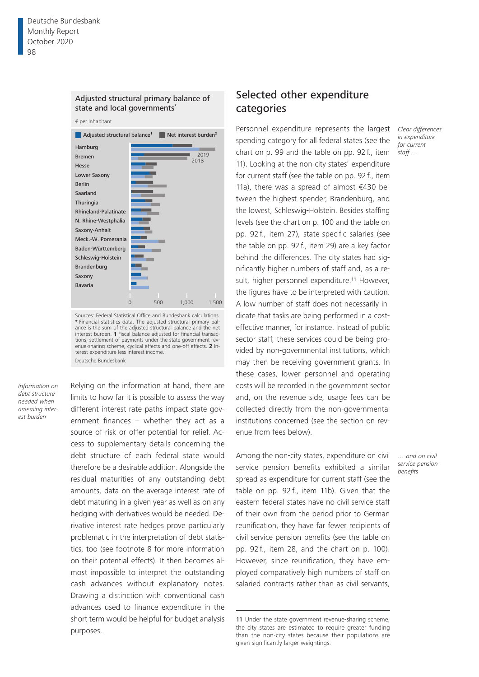

€ per inhabitant



Sources: Federal Statistical Office and Bundesbank calculations. **\*** Financial statistics data. The adjusted structural primary bal-ance is the sum of the adjusted structural balance and the net interest burden. **1** Fiscal balance adjusted for financial transactions, settlement of payments under the state government revenue-sharing scheme, cyclical effects and one-off effects. **2** Interest expenditure less interest income. Deutsche Bundesbank

*Information on debt structure needed when assessing interest burden*

Relying on the information at hand, there are limits to how far it is possible to assess the way different interest rate paths impact state government finances – whether they act as a source of risk or offer potential for relief. Access to supplementary details concerning the debt structure of each federal state would therefore be a desirable addition. Alongside the residual maturities of any outstanding debt amounts, data on the average interest rate of debt maturing in a given year as well as on any hedging with derivatives would be needed. Derivative interest rate hedges prove particularly problematic in the interpretation of debt statistics, too (see footnote 8 for more information on their potential effects). It then becomes almost impossible to interpret the outstanding cash advances without explanatory notes. Drawing a distinction with conventional cash advances used to finance expenditure in the short term would be helpful for budget analysis purposes.

# Selected other expenditure categories

Personnel expenditure represents the largest spending category for all federal states (see the chart on p. 99 and the table on pp. 92 f., item 11). Looking at the non-city states' expenditure for current staff (see the table on pp. 92 f., item 11a), there was a spread of almost €430 between the highest spender, Brandenburg, and the lowest, Schleswig-Holstein. Besides staffing levels (see the chart on p. 100 and the table on pp. 92 f., item 27), state-specific salaries (see the table on pp. 92 f., item 29) are a key factor behind the differences. The city states had significantly higher numbers of staff and, as a result, higher personnel expenditure.<sup>11</sup> However, the figures have to be interpreted with caution. A low number of staff does not necessarily indicate that tasks are being performed in a costeffective manner, for instance. Instead of public sector staff, these services could be being provided by non-governmental institutions, which may then be receiving government grants. In these cases, lower personnel and operating costs will be recorded in the government sector and, on the revenue side, usage fees can be collected directly from the non-governmental institutions concerned (see the section on revenue from fees below).

Among the non-city states, expenditure on civil service pension benefits exhibited a similar spread as expenditure for current staff (see the table on pp. 92 f., item 11b). Given that the eastern federal states have no civil service staff of their own from the period prior to German reunification, they have far fewer recipients of civil service pension benefits (see the table on pp. 92 f., item 28, and the chart on p. 100). However, since reunification, they have employed comparatively high numbers of staff on salaried contracts rather than as civil servants,

*Clear differences in expenditure for current staff …*

*… and on civil service pension benefits*

<sup>11</sup> Under the state government revenue-sharing scheme, the city states are estimated to require greater funding than the non-city states because their populations are given significantly larger weightings.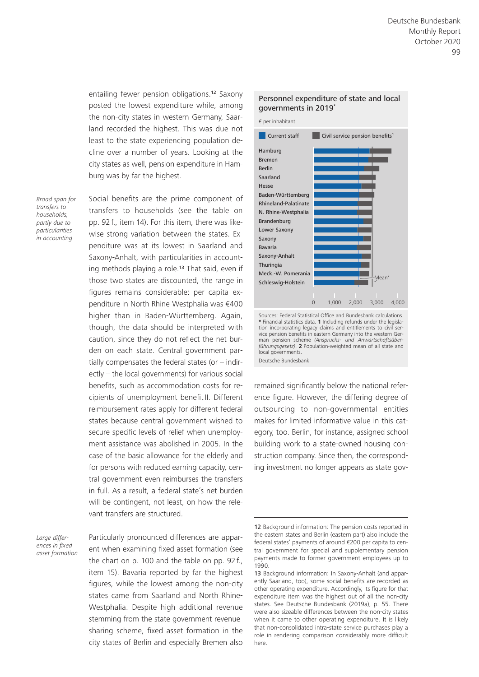entailing fewer pension obligations.12 Saxony posted the lowest expenditure while, among the non-city states in western Germany, Saarland recorded the highest. This was due not least to the state experiencing population decline over a number of years. Looking at the city states as well, pension expenditure in Hamburg was by far the highest.

*Broad span for transfers to households, partly due to particularities in accounting*

Social benefits are the prime component of transfers to households (see the table on pp. 92 f., item 14). For this item, there was likewise strong variation between the states. Expenditure was at its lowest in Saarland and Saxony-Anhalt, with particularities in accounting methods playing a role.<sup>13</sup> That said, even if those two states are discounted, the range in figures remains considerable: per capita expenditure in North Rhine-Westphalia was €400 higher than in Baden-Württemberg. Again, though, the data should be interpreted with caution, since they do not reflect the net burden on each state. Central government partially compensates the federal states (or  $-$  indirectly – the local governments) for various social benefits, such as accommodation costs for recipients of unemployment benefitII. Different reimbursement rates apply for different federal states because central government wished to secure specific levels of relief when unemployment assistance was abolished in 2005. In the case of the basic allowance for the elderly and for persons with reduced earning capacity, central government even reimburses the transfers in full. As a result, a federal state's net burden will be contingent, not least, on how the relevant transfers are structured.

*Large differences in fixed asset formation*

Particularly pronounced differences are apparent when examining fixed asset formation (see the chart on p. 100 and the table on pp. 92 f., item 15). Bavaria reported by far the highest figures, while the lowest among the non-city states came from Saarland and North Rhine-Westphalia. Despite high additional revenue stemming from the state government revenuesharing scheme, fixed asset formation in the city states of Berlin and especially Bremen also

#### Personnel expenditure of state and local governments in 2019**\***



**\*** Financial statistics data. **1** Including refunds under the legisla-tion incorporating legacy claims and entitlements to civil service pension benefits in eastern Germany into the western German pension scheme *(Anspruchs- und Anwartschaftsüber-führungsgesetz)*. **2** Population-weighted mean of all state and local governments. Deutsche Bundesbank

remained significantly below the national reference figure. However, the differing degree of outsourcing to non-governmental entities makes for limited informative value in this category, too. Berlin, for instance, assigned school building work to a state-owned housing construction company. Since then, the corresponding investment no longer appears as state gov-

<sup>12</sup> Background information: The pension costs reported in the eastern states and Berlin (eastern part) also include the federal states' payments of around €200 per capita to central government for special and supplementary pension payments made to former government employees up to 1990.

<sup>13</sup> Background information: In Saxony-Anhalt (and apparently Saarland, too), some social benefits are recorded as other operating expenditure. Accordingly, its figure for that expenditure item was the highest out of all the non-city states. See Deutsche Bundesbank (2019a), p. 55. There were also sizeable differences between the non-city states when it came to other operating expenditure. It is likely that non-consolidated intra-state service purchases play a role in rendering comparison considerably more difficult here.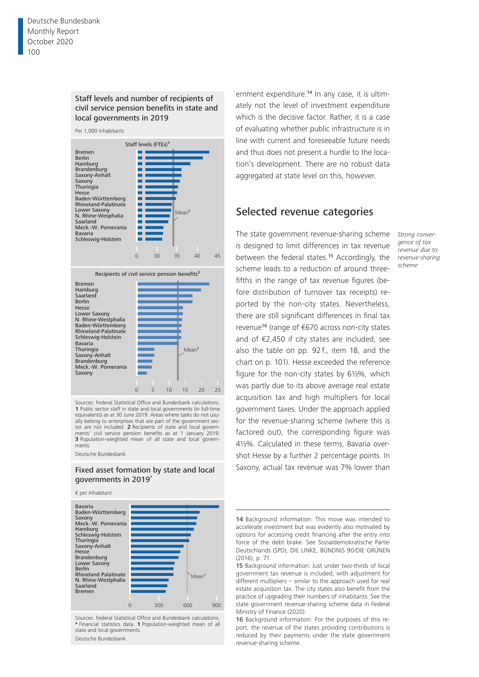#### Staff levels and number of recipients of civil service pension benefits in state and local governments in 2019



Recipients of civil service pension benefits**<sup>2</sup>**



Sources: Federal Statistical Office and Bundesbank calculations. **1** Public sector staff in state and local governments (in full-time equivalents) as at 30 June 2019. Areas where tasks do not usually belong to enterprises that are part of the government sector are not included. **2** Recipients of state and local govern-<br>ments' civil service pension benefits as at 1 January 2019. civil service pension benefits as at 1 January 2019. **3** Population-weighted mean of all state and local governments.

Deutsche Bundesbank

#### Fixed asset formation by state and local governments in 2019**\***

€ per inhabitant



Sources: Federal Statistical Office and Bundesbank calculations. **\*** Financial statistics data. **1** Population-weighted mean of all state and local governments.

Deutsche Bundesbank

ernment expenditure.14 In any case, it is ultimately not the level of investment expenditure which is the decisive factor. Rather, it is a case of evaluating whether public infrastructure is in line with current and foreseeable future needs and thus does not present a hurdle to the location's development. There are no robust data aggregated at state level on this, however.

### Selected revenue categories

The state government revenue-sharing scheme is designed to limit differences in tax revenue between the federal states.15 Accordingly, the scheme leads to a reduction of around threefifths in the range of tax revenue figures (before distribution of turnover tax receipts) reported by the non-city states. Nevertheless, there are still significant differences in final tax revenue16 (range of €670 across non-city states and of €2,450 if city states are included, see also the table on pp. 92 f., item 18, and the chart on p. 101). Hesse exceeded the reference figure for the non-city states by 6½%, which was partly due to its above average real estate acquisition tax and high multipliers for local government taxes. Under the approach applied for the revenue-sharing scheme (where this is factored out), the corresponding figure was 4½%. Calculated in these terms, Bavaria overshot Hesse by a further 2 percentage points. In Saxony, actual tax revenue was 7% lower than

*Strong convergence of tax revenue due to revenue-sharing scheme*

<sup>14</sup> Background information: This move was intended to accelerate investment but was evidently also motivated by options for accessing credit financing after the entry into force of the debt brake. See Sozialdemokratische Partei Deutschlands (SPD), DIE LINKE, BÜNDNIS 90/DIE GRÜNEN (2016), p. 71.

<sup>15</sup> Background information: Just under two-thirds of local government tax revenue is included, with adjustment for different multipliers – similar to the approach used for real estate acquisition tax. The city states also benefit from the practice of upgrading their numbers of inhabitants. See the state government revenue-sharing scheme data in Federal Ministry of Finance (2020).

<sup>16</sup> Background information: For the purposes of this report, the revenue of the states providing contributions is reduced by their payments under the state government revenue-sharing scheme.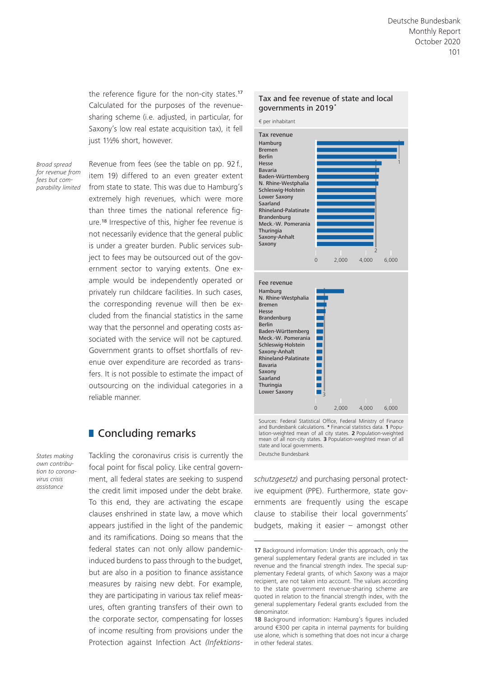the reference figure for the non-city states.<sup>17</sup> Calculated for the purposes of the revenuesharing scheme (i.e. adjusted, in particular, for Saxony's low real estate acquisition tax), it fell just 1½% short, however.

*Broad spread for revenue from fees but comparability limited*

Revenue from fees (see the table on pp. 92 f., item 19) differed to an even greater extent from state to state. This was due to Hamburg's extremely high revenues, which were more than three times the national reference figure.18 Irrespective of this, higher fee revenue is not necessarily evidence that the general public is under a greater burden. Public services subject to fees may be outsourced out of the government sector to varying extents. One example would be independently operated or privately run childcare facilities. In such cases, the corresponding revenue will then be excluded from the financial statistics in the same way that the personnel and operating costs associated with the service will not be captured. Government grants to offset shortfalls of revenue over expenditure are recorded as transfers. It is not possible to estimate the impact of outsourcing on the individual categories in a reliable manner.

# **Concluding remarks**

*States making own contribution to coronavirus crisis assistance*

Tackling the coronavirus crisis is currently the focal point for fiscal policy. Like central government, all federal states are seeking to suspend the credit limit imposed under the debt brake. To this end, they are activating the escape clauses enshrined in state law, a move which appears justified in the light of the pandemic and its ramifications. Doing so means that the federal states can not only allow pandemicinduced burdens to pass through to the budget, but are also in a position to finance assistance measures by raising new debt. For example, they are participating in various tax relief measures, often granting transfers of their own to the corporate sector, compensating for losses of income resulting from provisions under the Protection against Infection Act *(Infektions-*

#### Tax and fee revenue of state and local governments in 2019**\***

€ per inhabitant



Sources: Federal Statistical Office, Federal Ministry of Finance and Bundesbank calculations. **\*** Financial statistics data. **1** Population-weighted mean of all city states. **2** Population-weighted mean of all non-city states. **3** Population-weighted mean of all state and local governments. Deutsche Bundesbank

0 2,000 4,000 6,000

*schutzgesetz)* and purchasing personal protective equipment (PPE). Furthermore, state governments are frequently using the escape clause to stabilise their local governments' budgets, making it easier – amongst other

<sup>17</sup> Background information: Under this approach, only the general supplementary Federal grants are included in tax revenue and the financial strength index. The special supplementary Federal grants, of which Saxony was a major recipient, are not taken into account. The values according to the state government revenue-sharing scheme are quoted in relation to the financial strength index, with the general supplementary Federal grants excluded from the denominator.

<sup>18</sup> Background information: Hamburg's figures included around €300 per capita in internal payments for building use alone, which is something that does not incur a charge in other federal states.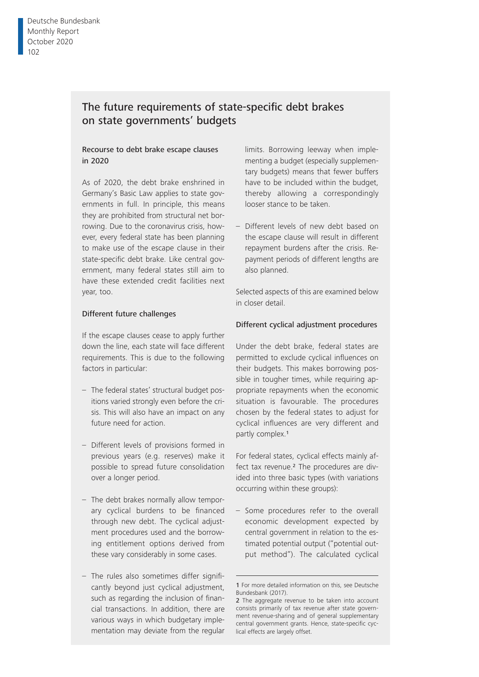# The future requirements of state-specific debt brakes on state governments' budgets

#### Recourse to debt brake escape clauses in 2020

As of 2020, the debt brake enshrined in Germany's Basic Law applies to state governments in full. In principle, this means they are prohibited from structural net borrowing. Due to the coronavirus crisis, however, every federal state has been planning to make use of the escape clause in their state-specific debt brake. Like central government, many federal states still aim to have these extended credit facilities next year, too.

#### Different future challenges

If the escape clauses cease to apply further down the line, each state will face different requirements. This is due to the following factors in particular:

- The federal states' structural budget positions varied strongly even before the crisis. This will also have an impact on any future need for action.
- Different levels of provisions formed in previous years (e.g. reserves) make it possible to spread future consolidation over a longer period.
- The debt brakes normally allow temporary cyclical burdens to be financed through new debt. The cyclical adjustment procedures used and the borrowing entitlement options derived from these vary considerably in some cases.
- The rules also sometimes differ signifi cantly beyond just cyclical adjustment, such as regarding the inclusion of financial transactions. In addition, there are various ways in which budgetary implementation may deviate from the regular

limits. Borrowing leeway when implementing a budget (especially supplementary budgets) means that fewer buffers have to be included within the budget, thereby allowing a correspondingly looser stance to be taken.

– Different levels of new debt based on the escape clause will result in different repayment burdens after the crisis. Repayment periods of different lengths are also planned.

Selected aspects of this are examined below in closer detail.

#### Different cyclical adjustment procedures

Under the debt brake, federal states are permitted to exclude cyclical influences on their budgets. This makes borrowing possible in tougher times, while requiring appropriate repayments when the economic situation is favourable. The procedures chosen by the federal states to adjust for cyclical influences are very different and partly complex.<sup>1</sup>

For federal states, cyclical effects mainly affect tax revenue.<sup>2</sup> The procedures are divided into three basic types (with variations occurring within these groups):

– Some procedures refer to the overall economic development expected by central government in relation to the estimated potential output ("potential output method"). The calculated cyclical

<sup>1</sup> For more detailed information on this, see Deutsche Bundesbank (2017).

<sup>2</sup> The aggregate revenue to be taken into account consists primarily of tax revenue after state government revenue-sharing and of general supplementary central government grants. Hence, state-specific cyclical effects are largely offset.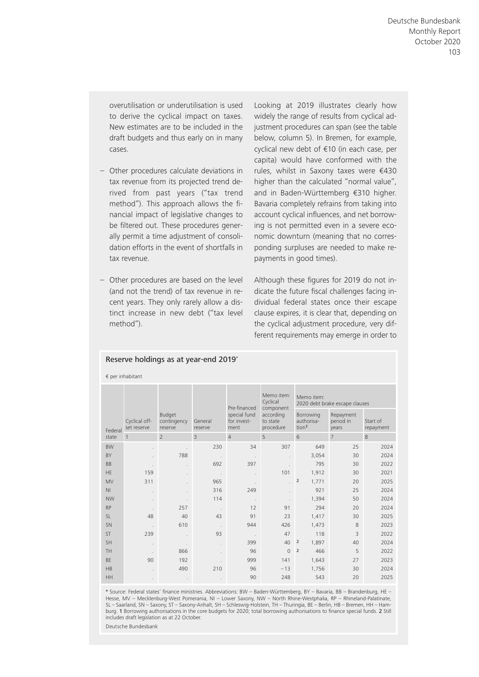overutilisation or underutilisation is used to derive the cyclical impact on taxes. New estimates are to be included in the draft budgets and thus early on in many cases.

- Other procedures calculate deviations in tax revenue from its projected trend derived from past years ("tax trend method"). This approach allows the financial impact of legislative changes to be filtered out. These procedures generally permit a time adjustment of consolidation efforts in the event of shortfalls in tax revenue.
- Other procedures are based on the level (and not the trend) of tax revenue in recent years. They only rarely allow a distinct increase in new debt ("tax level method").

Reserve holdings as at year-end 2019\*

Looking at 2019 illustrates clearly how widely the range of results from cyclical adjustment procedures can span (see the table below, column 5). In Bremen, for example, cyclical new debt of €10 (in each case, per capita) would have conformed with the rules, whilst in Saxony taxes were €430 higher than the calculated "normal value", and in Baden-Württemberg €310 higher. Bavaria completely refrains from taking into account cyclical influences, and net borrowing is not permitted even in a severe economic downturn (meaning that no corresponding surpluses are needed to make repayments in good times).

Although these figures for 2019 do not indicate the future fiscal challenges facing individual federal states once their escape clause expires, it is clear that, depending on the cyclical adjustment procedure, very different requirements may emerge in order to

|                | $\epsilon$ per inhabitant    |                                  |                          |                                     |                                                 |                                              |                                 |                       |  |  |  |
|----------------|------------------------------|----------------------------------|--------------------------|-------------------------------------|-------------------------------------------------|----------------------------------------------|---------------------------------|-----------------------|--|--|--|
|                |                              |                                  |                          | Pre-financed                        | Memo item:<br>Cyclical                          | Memo item:<br>2020 debt brake escape clauses |                                 |                       |  |  |  |
| Federal        | Cyclical off-<br>set reserve | Budget<br>contingency<br>reserve | General<br>reserve       | special fund<br>for invest-<br>ment | component<br>according<br>to state<br>procedure | Borrowing<br>authorisa-<br>tion <sup>1</sup> | Repayment<br>period in<br>years | Start of<br>repayment |  |  |  |
| state          | $\mathbf{1}$                 | $\overline{\phantom{a}}$         | 3                        | $\overline{4}$                      | 5                                               | 6                                            | $\overline{7}$                  | 8                     |  |  |  |
| <b>BW</b>      |                              |                                  | 230                      | 34                                  | 307                                             | 649                                          | 25                              | 2024                  |  |  |  |
| BY             |                              | 788                              |                          |                                     |                                                 | 3,054                                        | 30                              | 2024                  |  |  |  |
| <b>BB</b>      |                              |                                  | 692                      | 397                                 |                                                 | 795                                          | 30                              | 2022                  |  |  |  |
| <b>HE</b>      | 159                          |                                  | $\ddot{\phantom{a}}$     |                                     | 101                                             | 1,912                                        | 30                              | 2021                  |  |  |  |
| <b>MV</b>      | 311                          |                                  | 965                      |                                     |                                                 | $\overline{2}$<br>1,771                      | 20                              | 2025                  |  |  |  |
| N <sub>1</sub> |                              |                                  | 316                      | 249                                 |                                                 | 921                                          | 25                              | 2024                  |  |  |  |
| <b>NW</b>      | $\ddot{\phantom{a}}$         |                                  | 114                      | k,                                  |                                                 | 1,394                                        | 50                              | 2024                  |  |  |  |
| <b>RP</b>      |                              | 257                              | $\blacksquare$           | 12                                  | 91                                              | 294                                          | 20                              | 2024                  |  |  |  |
| <b>SL</b>      | 48                           | 40                               | 43                       | 91                                  | 23                                              | 1,417                                        | 30                              | 2025                  |  |  |  |
| SN             |                              | 610                              | $\overline{\phantom{a}}$ | 944                                 | 426                                             | 1,473                                        | 8                               | 2023                  |  |  |  |
| <b>ST</b>      | 239                          |                                  | 93                       |                                     | 47                                              | 118                                          | $\overline{3}$                  | 2022                  |  |  |  |
| SH             | $\mathbf{r}$                 |                                  | ÷,                       | 399                                 | 40                                              | $\overline{2}$<br>1,897                      | 40                              | 2024                  |  |  |  |
| <b>TH</b>      |                              | 866                              |                          | 96                                  | $\Omega$                                        | $\overline{2}$<br>466                        | 5                               | 2022                  |  |  |  |
| BE             | 90                           | 192                              |                          | 999                                 | 141                                             | 1,643                                        | 27                              | 2023                  |  |  |  |
| <b>HB</b>      |                              | 490                              | 210                      | 96                                  | $-13$                                           | 1,756                                        | 30                              | 2024                  |  |  |  |
| <b>HH</b>      | $\ddot{\phantom{0}}$         | $\epsilon$                       |                          | 90                                  | 248                                             | 543                                          | 20                              | 2025                  |  |  |  |

\* Source: Federal states' fi nance ministries. Abbreviations: BW – Baden- Württemberg, BY – Bavaria, BB – Brandenburg, HE – Hesse, MV - Mecklenburg-West Pomerania, NI - Lower Saxony, NW - North Rhine-Westphalia, RP - Rhineland-Palatinate, SL – Saarland, SN – Saxony, ST – Saxony- Anhalt, SH – Schleswig- Holstein, TH – Thuringia, BE – Berlin, HB – Bremen, HH – Hamburg. 1 Borrowing authorisations in the core budgets for 2020; total borrowing authorisations to finance special funds. 2 Still includes draft legislation as at 22 October.

Deutsche Bundesbank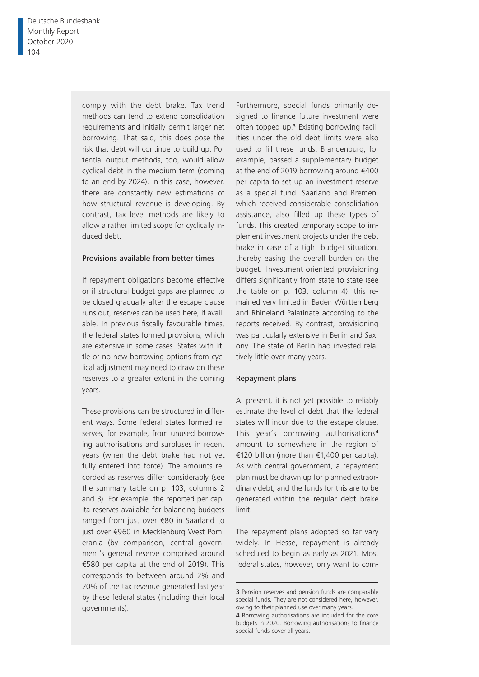comply with the debt brake. Tax trend methods can tend to extend consolidation requirements and initially permit larger net borrowing. That said, this does pose the risk that debt will continue to build up. Potential output methods, too, would allow cyclical debt in the medium term (coming to an end by 2024). In this case, however, there are constantly new estimations of how structural revenue is developing. By contrast, tax level methods are likely to allow a rather limited scope for cyclically induced debt.

#### Provisions available from better times

If repayment obligations become effective or if structural budget gaps are planned to be closed gradually after the escape clause runs out, reserves can be used here, if available. In previous fiscally favourable times, the federal states formed provisions, which are extensive in some cases. States with little or no new borrowing options from cyclical adjustment may need to draw on these reserves to a greater extent in the coming years.

These provisions can be structured in different ways. Some federal states formed reserves, for example, from unused borrowing authorisations and surpluses in recent years (when the debt brake had not yet fully entered into force). The amounts recorded as reserves differ considerably (see the summary table on p. 103, columns 2 and 3). For example, the reported per capita reserves available for balancing budgets ranged from just over €80 in Saarland to just over €960 in Mecklenburg-West Pomerania (by comparison, central government's general reserve comprised around €580 per capita at the end of 2019). This corresponds to between around 2% and 20% of the tax revenue generated last year by these federal states (including their local governments).

Furthermore, special funds primarily designed to finance future investment were often topped up.3 Existing borrowing facilities under the old debt limits were also used to fill these funds. Brandenburg, for example, passed a supplementary budget at the end of 2019 borrowing around €400 per capita to set up an investment reserve as a special fund. Saarland and Bremen, which received considerable consolidation assistance, also filled up these types of funds. This created temporary scope to implement investment projects under the debt brake in case of a tight budget situation, thereby easing the overall burden on the budget. Investment-oriented provisioning differs significantly from state to state (see the table on p. 103, column 4): this remained very limited in Baden-Württemberg and Rhineland-Palatinate according to the reports received. By contrast, provisioning was particularly extensive in Berlin and Saxony. The state of Berlin had invested relatively little over many years.

#### Repayment plans

At present, it is not yet possible to reliably estimate the level of debt that the federal states will incur due to the escape clause. This year's borrowing authorisations<sup>4</sup> amount to somewhere in the region of €120 billion (more than €1,400 per capita). As with central government, a repayment plan must be drawn up for planned extraordinary debt, and the funds for this are to be generated within the regular debt brake limit.

The repayment plans adopted so far vary widely. In Hesse, repayment is already scheduled to begin as early as 2021. Most federal states, however, only want to com-

<sup>3</sup> Pension reserves and pension funds are comparable special funds. They are not considered here, however, owing to their planned use over many years. 4 Borrowing authorisations are included for the core

budgets in 2020. Borrowing authorisations to finance special funds cover all years.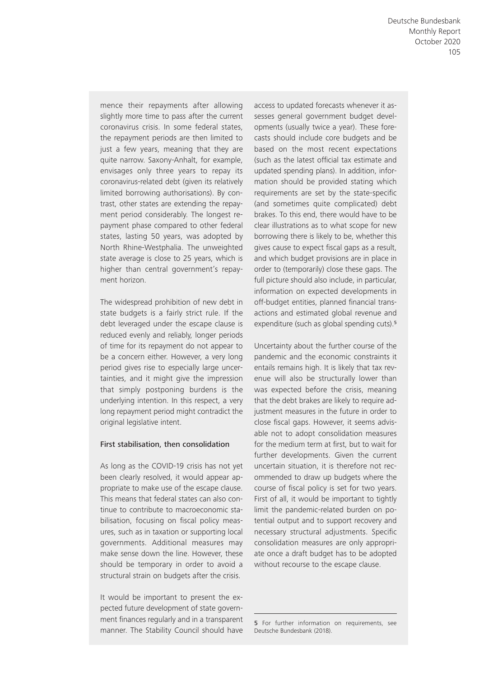mence their repayments after allowing slightly more time to pass after the current coronavirus crisis. In some federal states, the repayment periods are then limited to just a few years, meaning that they are quite narrow. Saxony- Anhalt, for example, envisages only three years to repay its coronavirus- related debt (given its relatively limited borrowing authorisations). By contrast, other states are extending the repayment period considerably. The longest repayment phase compared to other federal states, lasting 50 years, was adopted by North Rhine-Westphalia. The unweighted state average is close to 25 years, which is higher than central government's repayment horizon.

The widespread prohibition of new debt in state budgets is a fairly strict rule. If the debt leveraged under the escape clause is reduced evenly and reliably, longer periods of time for its repayment do not appear to be a concern either. However, a very long period gives rise to especially large uncertainties, and it might give the impression that simply postponing burdens is the underlying intention. In this respect, a very long repayment period might contradict the original legislative intent.

#### First stabilisation, then consolidation

As long as the COVID-19 crisis has not yet been clearly resolved, it would appear appropriate to make use of the escape clause. This means that federal states can also continue to contribute to macroeconomic stabilisation, focusing on fiscal policy measures, such as in taxation or supporting local governments. Additional measures may make sense down the line. However, these should be temporary in order to avoid a structural strain on budgets after the crisis.

It would be important to present the expected future development of state government finances regularly and in a transparent manner. The Stability Council should have access to updated forecasts whenever it assesses general government budget developments (usually twice a year). These forecasts should include core budgets and be based on the most recent expectations (such as the latest official tax estimate and updated spending plans). In addition, information should be provided stating which requirements are set by the state-specific (and sometimes quite complicated) debt brakes. To this end, there would have to be clear illustrations as to what scope for new borrowing there is likely to be, whether this gives cause to expect fiscal gaps as a result, and which budget provisions are in place in order to (temporarily) close these gaps. The full picture should also include, in particular, information on expected developments in off-budget entities, planned financial transactions and estimated global revenue and expenditure (such as global spending cuts).<sup>5</sup>

Uncertainty about the further course of the pandemic and the economic constraints it entails remains high. It is likely that tax revenue will also be structurally lower than was expected before the crisis, meaning that the debt brakes are likely to require adjustment measures in the future in order to close fiscal gaps. However, it seems advisable not to adopt consolidation measures for the medium term at first, but to wait for further developments. Given the current uncertain situation, it is therefore not recommended to draw up budgets where the course of fiscal policy is set for two years. First of all, it would be important to tightly limit the pandemic- related burden on potential output and to support recovery and necessary structural adjustments. Specific consolidation measures are only appropriate once a draft budget has to be adopted without recourse to the escape clause.

<sup>5</sup> For further information on requirements, see Deutsche Bundesbank (2018).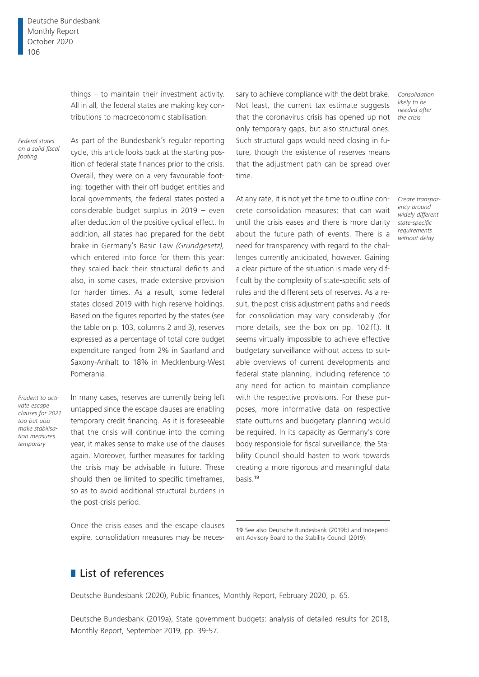things – to maintain their investment activity. All in all, the federal states are making key contributions to macroeconomic stabilisation.

*Federal states on a solid fiscal footing*

As part of the Bundesbank's regular reporting cycle, this article looks back at the starting position of federal state finances prior to the crisis. Overall, they were on a very favourable footing: together with their off-budget entities and local governments, the federal states posted a considerable budget surplus in 2019 – even after deduction of the positive cyclical effect. In addition, all states had prepared for the debt brake in Germany's Basic Law *(Grundgesetz),*  which entered into force for them this year: they scaled back their structural deficits and also, in some cases, made extensive provision for harder times. As a result, some federal states closed 2019 with high reserve holdings. Based on the figures reported by the states (see the table on p. 103, columns 2 and 3), reserves expressed as a percentage of total core budget expenditure ranged from 2% in Saarland and Saxony-Anhalt to 18% in Mecklenburg-West Pomerania.

*Prudent to activate escape clauses for 2021 too but also make stabilisation measures temporary*

In many cases, reserves are currently being left untapped since the escape clauses are enabling temporary credit financing. As it is foreseeable that the crisis will continue into the coming year, it makes sense to make use of the clauses again. Moreover, further measures for tackling the crisis may be advisable in future. These should then be limited to specific timeframes, so as to avoid additional structural burdens in the post-crisis period.

that the coronavirus crisis has opened up not only temporary gaps, but also structural ones. Such structural gaps would need closing in future, though the existence of reserves means that the adjustment path can be spread over time.

sary to achieve compliance with the debt brake. Not least, the current tax estimate suggests

At any rate, it is not yet the time to outline concrete consolidation measures; that can wait until the crisis eases and there is more clarity about the future path of events. There is a need for transparency with regard to the challenges currently anticipated, however. Gaining a clear picture of the situation is made very difficult by the complexity of state-specific sets of rules and the different sets of reserves. As a result, the post-crisis adjustment paths and needs for consolidation may vary considerably (for more details, see the box on pp. 102 ff.). It seems virtually impossible to achieve effective budgetary surveillance without access to suitable overviews of current developments and federal state planning, including reference to any need for action to maintain compliance with the respective provisions. For these purposes, more informative data on respective state outturns and budgetary planning would be required. In its capacity as Germany's core body responsible for fiscal surveillance, the Stability Council should hasten to work towards creating a more rigorous and meaningful data basis.<sup>19</sup>

Once the crisis eases and the escape clauses expire, consolidation measures may be neces-

# **List of references**

Deutsche Bundesbank (2020), Public finances, Monthly Report, February 2020, p. 65.

Deutsche Bundesbank (2019a), State government budgets: analysis of detailed results for 2018, Monthly Report, September 2019, pp. 39-57.

*Consolidation likely to be needed after the crisis*

*Create transparency around widely different state-specific requirements without delay*

<sup>19</sup> See also Deutsche Bundesbank (2019b) and Independent Advisory Board to the Stability Council (2019).